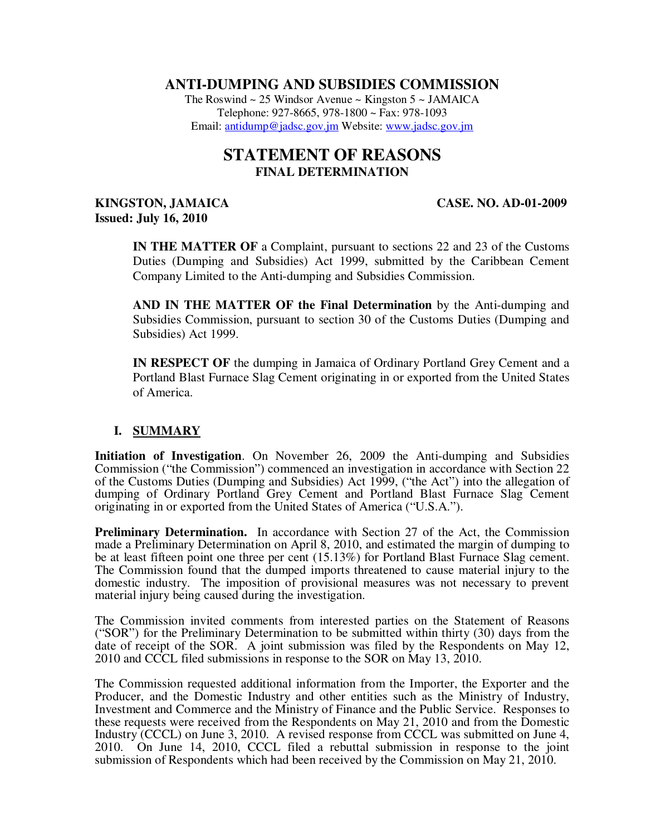## **ANTI-DUMPING AND SUBSIDIES COMMISSION**

The Roswind  $\sim 25$  Windsor Avenue  $\sim$  Kingston  $5 \sim$  JAMAICA Telephone: 927-8665, 978-1800 ~ Fax: 978-1093 Email: antidump@jadsc.gov.jm Website: www.jadsc.gov.jm

# **STATEMENT OF REASONS FINAL DETERMINATION**

## **KINGSTON, JAMAICA CASE. NO. AD-01-2009 Issued: July 16, 2010**

**IN THE MATTER OF** a Complaint, pursuant to sections 22 and 23 of the Customs Duties (Dumping and Subsidies) Act 1999, submitted by the Caribbean Cement Company Limited to the Anti-dumping and Subsidies Commission.

**AND IN THE MATTER OF the Final Determination** by the Anti-dumping and Subsidies Commission, pursuant to section 30 of the Customs Duties (Dumping and Subsidies) Act 1999.

**IN RESPECT OF** the dumping in Jamaica of Ordinary Portland Grey Cement and a Portland Blast Furnace Slag Cement originating in or exported from the United States of America.

## **I. SUMMARY**

**Initiation of Investigation**. On November 26, 2009 the Anti-dumping and Subsidies Commission ("the Commission") commenced an investigation in accordance with Section 22 of the Customs Duties (Dumping and Subsidies) Act 1999, ("the Act") into the allegation of dumping of Ordinary Portland Grey Cement and Portland Blast Furnace Slag Cement originating in or exported from the United States of America ("U.S.A.").

**Preliminary Determination.** In accordance with Section 27 of the Act, the Commission made a Preliminary Determination on April 8, 2010, and estimated the margin of dumping to be at least fifteen point one three per cent (15.13%) for Portland Blast Furnace Slag cement. The Commission found that the dumped imports threatened to cause material injury to the domestic industry. The imposition of provisional measures was not necessary to prevent material injury being caused during the investigation.

The Commission invited comments from interested parties on the Statement of Reasons ("SOR") for the Preliminary Determination to be submitted within thirty (30) days from the date of receipt of the SOR. A joint submission was filed by the Respondents on May 12, 2010 and CCCL filed submissions in response to the SOR on May 13, 2010.

The Commission requested additional information from the Importer, the Exporter and the Producer, and the Domestic Industry and other entities such as the Ministry of Industry, Investment and Commerce and the Ministry of Finance and the Public Service. Responses to these requests were received from the Respondents on May 21, 2010 and from the Domestic Industry (CCCL) on June 3, 2010. A revised response from CCCL was submitted on June 4, 2010. On June 14, 2010, CCCL filed a rebuttal submission in response to the joint submission of Respondents which had been received by the Commission on May 21, 2010.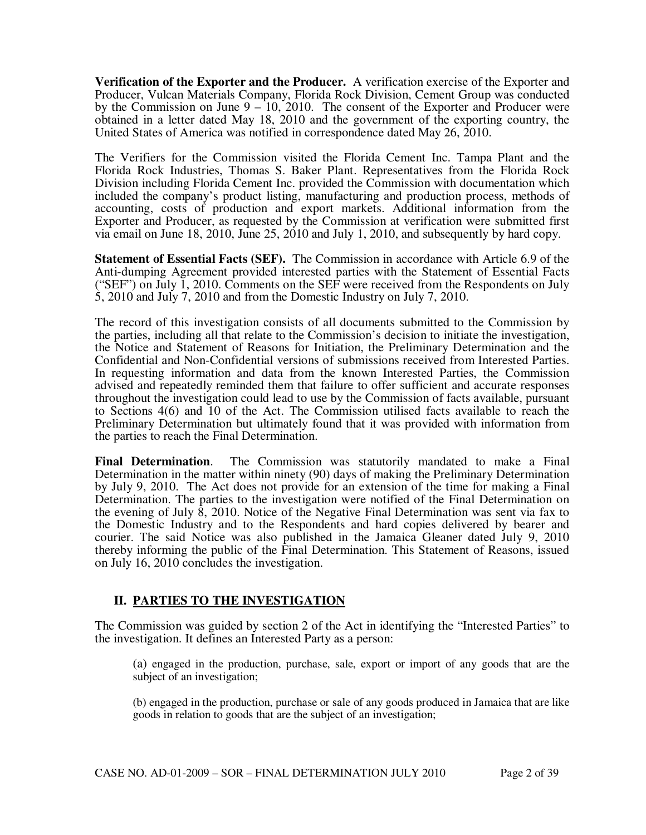**Verification of the Exporter and the Producer.** A verification exercise of the Exporter and Producer, Vulcan Materials Company, Florida Rock Division, Cement Group was conducted by the Commission on June 9 – 10, 2010. The consent of the Exporter and Producer were obtained in a letter dated May 18, 2010 and the government of the exporting country, the United States of America was notified in correspondence dated May 26, 2010.

The Verifiers for the Commission visited the Florida Cement Inc. Tampa Plant and the Florida Rock Industries, Thomas S. Baker Plant. Representatives from the Florida Rock Division including Florida Cement Inc. provided the Commission with documentation which included the company's product listing, manufacturing and production process, methods of accounting, costs of production and export markets. Additional information from the Exporter and Producer, as requested by the Commission at verification were submitted first via email on June 18, 2010, June 25, 2010 and July 1, 2010, and subsequently by hard copy.

**Statement of Essential Facts (SEF).** The Commission in accordance with Article 6.9 of the Anti-dumping Agreement provided interested parties with the Statement of Essential Facts ("SEF") on July 1, 2010. Comments on the SEF were received from the Respondents on July 5, 2010 and July 7, 2010 and from the Domestic Industry on July 7, 2010.

The record of this investigation consists of all documents submitted to the Commission by the parties, including all that relate to the Commission's decision to initiate the investigation, the Notice and Statement of Reasons for Initiation, the Preliminary Determination and the Confidential and Non-Confidential versions of submissions received from Interested Parties. In requesting information and data from the known Interested Parties, the Commission advised and repeatedly reminded them that failure to offer sufficient and accurate responses throughout the investigation could lead to use by the Commission of facts available, pursuant to Sections 4(6) and 10 of the Act. The Commission utilised facts available to reach the Preliminary Determination but ultimately found that it was provided with information from the parties to reach the Final Determination.

**Final Determination**. The Commission was statutorily mandated to make a Final Determination in the matter within ninety (90) days of making the Preliminary Determination by July 9, 2010. The Act does not provide for an extension of the time for making a Final Determination. The parties to the investigation were notified of the Final Determination on the evening of July 8, 2010. Notice of the Negative Final Determination was sent via fax to the Domestic Industry and to the Respondents and hard copies delivered by bearer and courier. The said Notice was also published in the Jamaica Gleaner dated July 9, 2010 thereby informing the public of the Final Determination. This Statement of Reasons, issued on July 16, 2010 concludes the investigation.

## **II. PARTIES TO THE INVESTIGATION**

The Commission was guided by section 2 of the Act in identifying the "Interested Parties" to the investigation. It defines an Interested Party as a person:

(a) engaged in the production, purchase, sale, export or import of any goods that are the subject of an investigation;

(b) engaged in the production, purchase or sale of any goods produced in Jamaica that are like goods in relation to goods that are the subject of an investigation;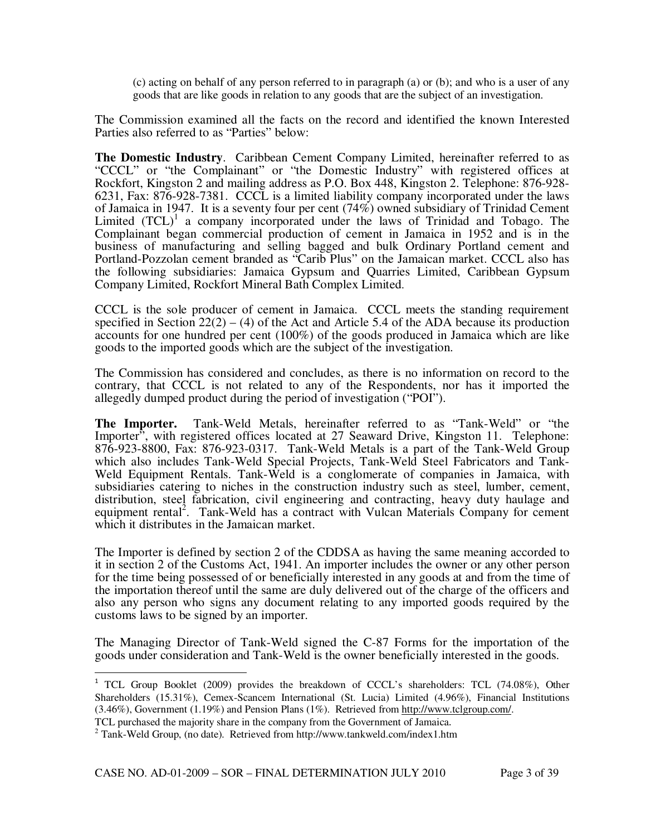(c) acting on behalf of any person referred to in paragraph (a) or (b); and who is a user of any goods that are like goods in relation to any goods that are the subject of an investigation.

The Commission examined all the facts on the record and identified the known Interested Parties also referred to as "Parties" below:

**The Domestic Industry**. Caribbean Cement Company Limited, hereinafter referred to as "CCCL" or "the Complainant" or "the Domestic Industry" with registered offices at Rockfort, Kingston 2 and mailing address as P.O. Box 448, Kingston 2. Telephone: 876-928- 6231, Fax: 876-928-7381. CCCL is a limited liability company incorporated under the laws of Jamaica in 1947. It is a seventy four per cent (74%) owned subsidiary of Trinidad Cement Limited  $(TCL)^{1}$  a company incorporated under the laws of Trinidad and Tobago. The Complainant began commercial production of cement in Jamaica in 1952 and is in the business of manufacturing and selling bagged and bulk Ordinary Portland cement and Portland-Pozzolan cement branded as "Carib Plus" on the Jamaican market. CCCL also has the following subsidiaries: Jamaica Gypsum and Quarries Limited, Caribbean Gypsum Company Limited, Rockfort Mineral Bath Complex Limited.

CCCL is the sole producer of cement in Jamaica. CCCL meets the standing requirement specified in Section  $22(2) - (4)$  of the Act and Article 5.4 of the ADA because its production accounts for one hundred per cent (100%) of the goods produced in Jamaica which are like goods to the imported goods which are the subject of the investigation.

The Commission has considered and concludes, as there is no information on record to the contrary, that CCCL is not related to any of the Respondents, nor has it imported the allegedly dumped product during the period of investigation ("POI").

**The Importer.** Tank-Weld Metals, hereinafter referred to as "Tank-Weld" or "the Importer", with registered offices located at 27 Seaward Drive, Kingston 11. Telephone: 876-923-8800, Fax: 876-923-0317. Tank-Weld Metals is a part of the Tank-Weld Group which also includes Tank-Weld Special Projects, Tank-Weld Steel Fabricators and Tank-Weld Equipment Rentals. Tank-Weld is a conglomerate of companies in Jamaica, with subsidiaries catering to niches in the construction industry such as steel, lumber, cement, distribution, steel fabrication, civil engineering and contracting, heavy duty haulage and equipment rental<sup>2</sup>. Tank-Weld has a contract with Vulcan Materials Company for cement which it distributes in the Jamaican market.

The Importer is defined by section 2 of the CDDSA as having the same meaning accorded to it in section 2 of the Customs Act, 1941. An importer includes the owner or any other person for the time being possessed of or beneficially interested in any goods at and from the time of the importation thereof until the same are duly delivered out of the charge of the officers and also any person who signs any document relating to any imported goods required by the customs laws to be signed by an importer.

The Managing Director of Tank-Weld signed the C-87 Forms for the importation of the goods under consideration and Tank-Weld is the owner beneficially interested in the goods.

l

<sup>&</sup>lt;sup>1</sup> TCL Group Booklet (2009) provides the breakdown of CCCL's shareholders: TCL (74.08%), Other Shareholders (15.31%), Cemex-Scancem International (St. Lucia) Limited (4.96%), Financial Institutions (3.46%), Government (1.19%) and Pension Plans (1%). Retrieved from http://www.tclgroup.com/.

TCL purchased the majority share in the company from the Government of Jamaica.

<sup>&</sup>lt;sup>2</sup> Tank-Weld Group, (no date). Retrieved from http://www.tankweld.com/index1.htm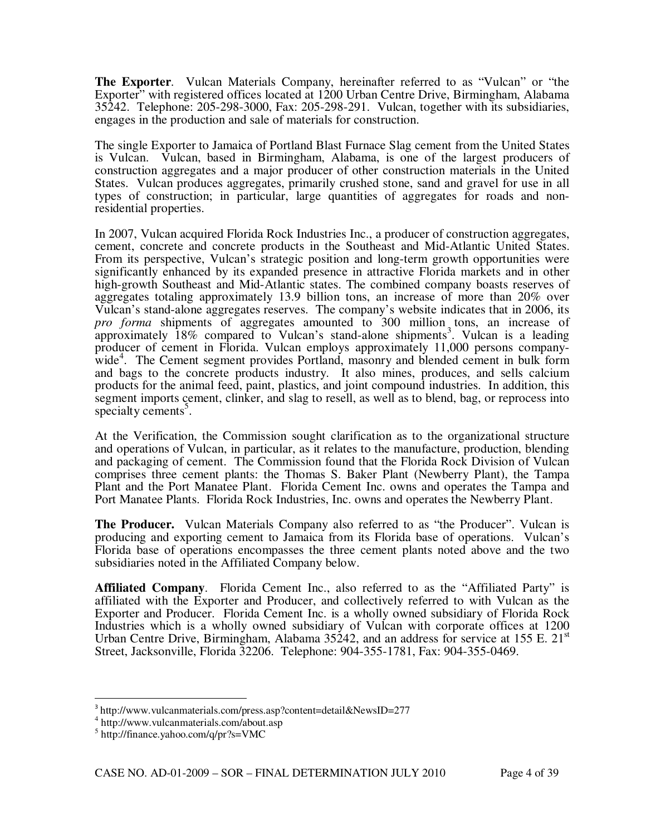**The Exporter**. Vulcan Materials Company, hereinafter referred to as "Vulcan" or "the Exporter" with registered offices located at 1200 Urban Centre Drive, Birmingham, Alabama 35242. Telephone: 205-298-3000, Fax: 205-298-291. Vulcan, together with its subsidiaries, engages in the production and sale of materials for construction.

The single Exporter to Jamaica of Portland Blast Furnace Slag cement from the United States is Vulcan. Vulcan, based in Birmingham, Alabama, is one of the largest producers of construction aggregates and a major producer of other construction materials in the United States. Vulcan produces aggregates, primarily crushed stone, sand and gravel for use in all types of construction; in particular, large quantities of aggregates for roads and nonresidential properties.

In 2007, Vulcan acquired Florida Rock Industries Inc., a producer of construction aggregates, cement, concrete and concrete products in the Southeast and Mid-Atlantic United States. From its perspective, Vulcan's strategic position and long-term growth opportunities were significantly enhanced by its expanded presence in attractive Florida markets and in other high-growth Southeast and Mid-Atlantic states. The combined company boasts reserves of aggregates totaling approximately 13.9 billion tons, an increase of more than 20% over Vulcan's stand-alone aggregates reserves. The company's website indicates that in 2006, its *pro forma* shipments of aggregates amounted to 300 million<sub>3</sub> tons, an increase of approximately  $18\%$  compared to Vulcan's stand-alone shipments<sup>3</sup>. Vulcan is a leading producer of cement in Florida. Vulcan employs approximately 11,000 persons companywide<sup>4</sup>. The Cement segment provides Portland, masonry and blended cement in bulk form and bags to the concrete products industry. It also mines, produces, and sells calcium products for the animal feed, paint, plastics, and joint compound industries. In addition, this segment imports cement, clinker, and slag to resell, as well as to blend, bag, or reprocess into specialty cements<sup>5</sup>.

At the Verification, the Commission sought clarification as to the organizational structure and operations of Vulcan, in particular, as it relates to the manufacture, production, blending and packaging of cement. The Commission found that the Florida Rock Division of Vulcan comprises three cement plants: the Thomas S. Baker Plant (Newberry Plant), the Tampa Plant and the Port Manatee Plant. Florida Cement Inc. owns and operates the Tampa and Port Manatee Plants. Florida Rock Industries, Inc. owns and operates the Newberry Plant.

**The Producer.** Vulcan Materials Company also referred to as "the Producer". Vulcan is producing and exporting cement to Jamaica from its Florida base of operations. Vulcan's Florida base of operations encompasses the three cement plants noted above and the two subsidiaries noted in the Affiliated Company below.

**Affiliated Company**. Florida Cement Inc., also referred to as the "Affiliated Party" is affiliated with the Exporter and Producer, and collectively referred to with Vulcan as the Exporter and Producer. Florida Cement Inc. is a wholly owned subsidiary of Florida Rock Industries which is a wholly owned subsidiary of Vulcan with corporate offices at 1200 Urban Centre Drive, Birmingham, Alabama  $35242$ , and an address for service at 155 E.  $21<sup>st</sup>$ Street, Jacksonville, Florida 32206. Telephone: 904-355-1781, Fax: 904-355-0469.

 $\overline{a}$ 

<sup>3</sup> http://www.vulcanmaterials.com/press.asp?content=detail&NewsID=277

<sup>4</sup> http://www.vulcanmaterials.com/about.asp

<sup>5</sup> http://finance.yahoo.com/q/pr?s=VMC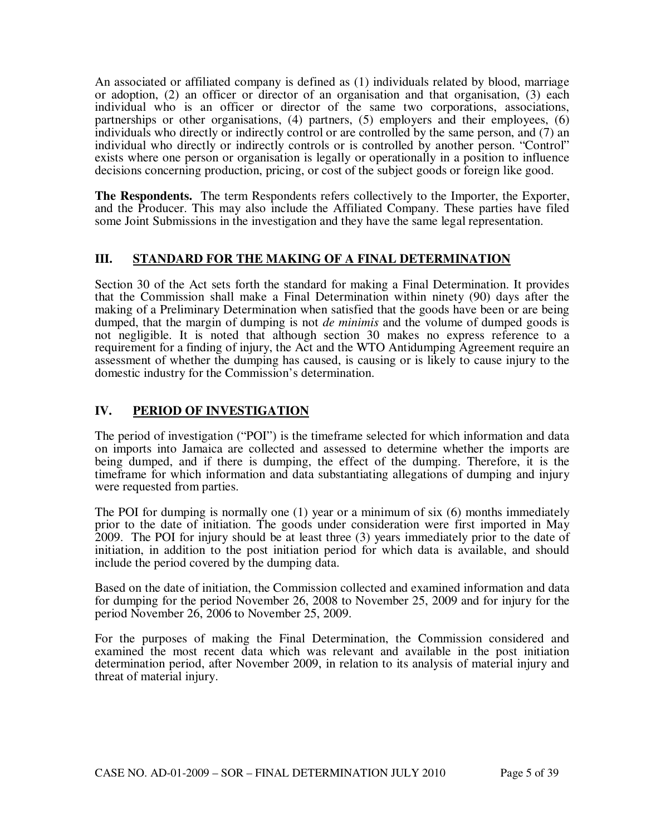An associated or affiliated company is defined as (1) individuals related by blood, marriage or adoption, (2) an officer or director of an organisation and that organisation, (3) each individual who is an officer or director of the same two corporations, associations, partnerships or other organisations, (4) partners, (5) employers and their employees, (6) individuals who directly or indirectly control or are controlled by the same person, and (7) an individual who directly or indirectly controls or is controlled by another person. "Control" exists where one person or organisation is legally or operationally in a position to influence decisions concerning production, pricing, or cost of the subject goods or foreign like good.

**The Respondents.** The term Respondents refers collectively to the Importer, the Exporter, and the Producer. This may also include the Affiliated Company. These parties have filed some Joint Submissions in the investigation and they have the same legal representation.

## **III. STANDARD FOR THE MAKING OF A FINAL DETERMINATION**

Section 30 of the Act sets forth the standard for making a Final Determination. It provides that the Commission shall make a Final Determination within ninety (90) days after the making of a Preliminary Determination when satisfied that the goods have been or are being dumped, that the margin of dumping is not *de minimis* and the volume of dumped goods is not negligible. It is noted that although section 30 makes no express reference to a requirement for a finding of injury, the Act and the WTO Antidumping Agreement require an assessment of whether the dumping has caused, is causing or is likely to cause injury to the domestic industry for the Commission's determination.

## **IV. PERIOD OF INVESTIGATION**

The period of investigation ("POI") is the timeframe selected for which information and data on imports into Jamaica are collected and assessed to determine whether the imports are being dumped, and if there is dumping, the effect of the dumping. Therefore, it is the timeframe for which information and data substantiating allegations of dumping and injury were requested from parties.

The POI for dumping is normally one (1) year or a minimum of six (6) months immediately prior to the date of initiation. The goods under consideration were first imported in May 2009. The POI for injury should be at least three (3) years immediately prior to the date of initiation, in addition to the post initiation period for which data is available, and should include the period covered by the dumping data.

Based on the date of initiation, the Commission collected and examined information and data for dumping for the period November 26, 2008 to November 25, 2009 and for injury for the period November 26, 2006 to November 25, 2009.

For the purposes of making the Final Determination, the Commission considered and examined the most recent data which was relevant and available in the post initiation determination period, after November 2009, in relation to its analysis of material injury and threat of material injury.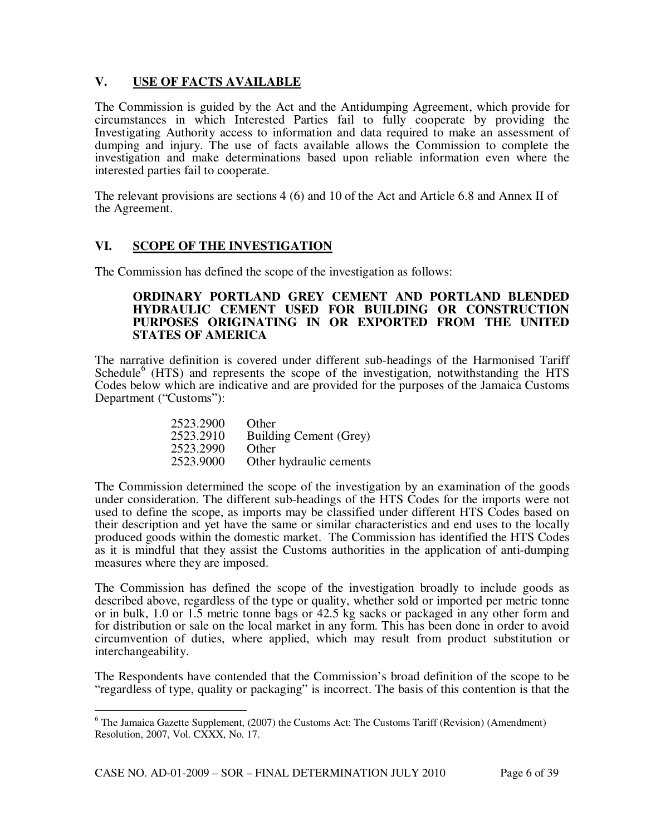## **V. USE OF FACTS AVAILABLE**

The Commission is guided by the Act and the Antidumping Agreement, which provide for circumstances in which Interested Parties fail to fully cooperate by providing the Investigating Authority access to information and data required to make an assessment of dumping and injury. The use of facts available allows the Commission to complete the investigation and make determinations based upon reliable information even where the interested parties fail to cooperate.

The relevant provisions are sections 4 (6) and 10 of the Act and Article 6.8 and Annex II of the Agreement.

## **VI. SCOPE OF THE INVESTIGATION**

The Commission has defined the scope of the investigation as follows:

#### **ORDINARY PORTLAND GREY CEMENT AND PORTLAND BLENDED HYDRAULIC CEMENT USED FOR BUILDING OR CONSTRUCTION PURPOSES ORIGINATING IN OR EXPORTED FROM THE UNITED STATES OF AMERICA**

The narrative definition is covered under different sub-headings of the Harmonised Tariff Schedule $<sup>6</sup>$  (HTS) and represents the scope of the investigation, notwithstanding the HTS</sup> Codes below which are indicative and are provided for the purposes of the Jamaica Customs Department ("Customs"):

| 2523.2900 | Other                   |
|-----------|-------------------------|
| 2523.2910 | Building Cement (Grey)  |
| 2523.2990 | Other                   |
| 2523.9000 | Other hydraulic cements |

The Commission determined the scope of the investigation by an examination of the goods under consideration. The different sub-headings of the HTS Codes for the imports were not used to define the scope, as imports may be classified under different HTS Codes based on their description and yet have the same or similar characteristics and end uses to the locally produced goods within the domestic market. The Commission has identified the HTS Codes as it is mindful that they assist the Customs authorities in the application of anti-dumping measures where they are imposed.

The Commission has defined the scope of the investigation broadly to include goods as described above, regardless of the type or quality, whether sold or imported per metric tonne or in bulk, 1.0 or 1.5 metric tonne bags or 42.5 kg sacks or packaged in any other form and for distribution or sale on the local market in any form. This has been done in order to avoid circumvention of duties, where applied, which may result from product substitution or interchangeability.

The Respondents have contended that the Commission's broad definition of the scope to be "regardless of type, quality or packaging" is incorrect. The basis of this contention is that the

l  $6$  The Jamaica Gazette Supplement, (2007) the Customs Act: The Customs Tariff (Revision) (Amendment) Resolution, 2007, Vol. CXXX, No. 17.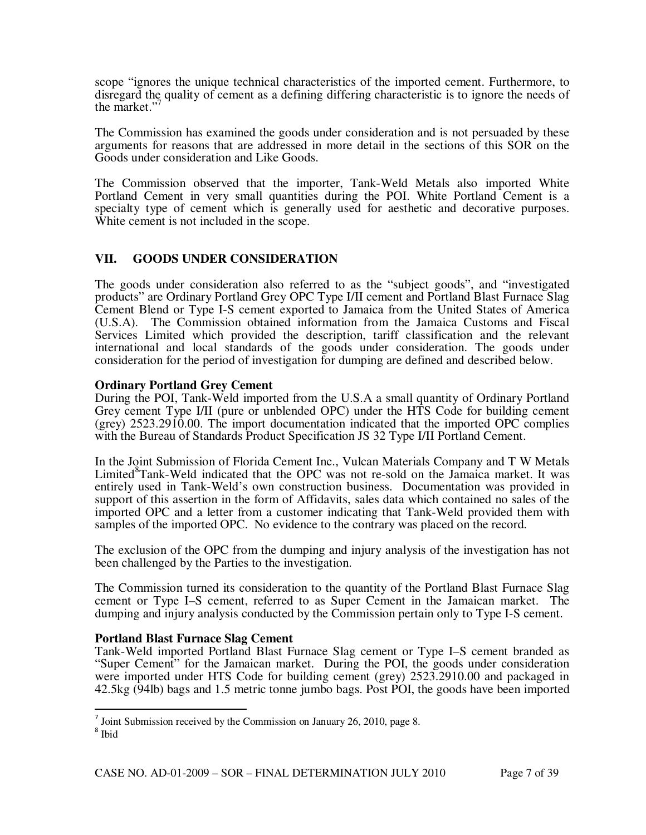scope "ignores the unique technical characteristics of the imported cement. Furthermore, to disregard the quality of cement as a defining differing characteristic is to ignore the needs of the market."

The Commission has examined the goods under consideration and is not persuaded by these arguments for reasons that are addressed in more detail in the sections of this SOR on the Goods under consideration and Like Goods.

The Commission observed that the importer, Tank-Weld Metals also imported White Portland Cement in very small quantities during the POI. White Portland Cement is a specialty type of cement which is generally used for aesthetic and decorative purposes. White cement is not included in the scope.

## **VII. GOODS UNDER CONSIDERATION**

The goods under consideration also referred to as the "subject goods", and "investigated products" are Ordinary Portland Grey OPC Type I/II cement and Portland Blast Furnace Slag Cement Blend or Type I-S cement exported to Jamaica from the United States of America (U.S.A).The Commission obtained information from the Jamaica Customs and Fiscal Services Limited which provided the description, tariff classification and the relevant international and local standards of the goods under consideration. The goods under consideration for the period of investigation for dumping are defined and described below.

#### **Ordinary Portland Grey Cement**

During the POI, Tank-Weld imported from the U.S.A a small quantity of Ordinary Portland Grey cement Type I/II (pure or unblended OPC) under the HTS Code for building cement (grey) 2523.2910.00. The import documentation indicated that the imported OPC complies with the Bureau of Standards Product Specification JS 32 Type I/II Portland Cement.

In the Joint Submission of Florida Cement Inc., Vulcan Materials Company and T W Metals Limited<sup>8</sup>Tank-Weld indicated that the OPC was not re-sold on the Jamaica market. It was entirely used in Tank-Weld's own construction business. Documentation was provided in support of this assertion in the form of Affidavits, sales data which contained no sales of the imported OPC and a letter from a customer indicating that Tank-Weld provided them with samples of the imported OPC. No evidence to the contrary was placed on the record.

The exclusion of the OPC from the dumping and injury analysis of the investigation has not been challenged by the Parties to the investigation.

The Commission turned its consideration to the quantity of the Portland Blast Furnace Slag cement or Type I–S cement, referred to as Super Cement in the Jamaican market. The dumping and injury analysis conducted by the Commission pertain only to Type I-S cement.

## **Portland Blast Furnace Slag Cement**

Tank-Weld imported Portland Blast Furnace Slag cement or Type I–S cement branded as "Super Cement" for the Jamaican market. During the POI, the goods under consideration were imported under HTS Code for building cement (grey) 2523.2910.00 and packaged in 42.5kg (94lb) bags and 1.5 metric tonne jumbo bags. Post POI, the goods have been imported

l

 $<sup>7</sup>$  Joint Submission received by the Commission on January 26, 2010, page 8.</sup>

<sup>8</sup> Ibid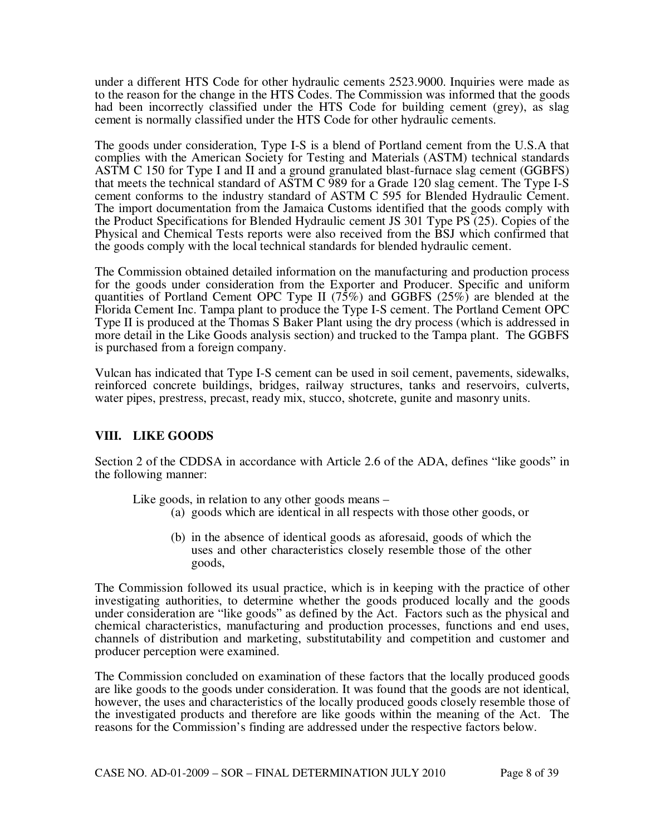under a different HTS Code for other hydraulic cements 2523.9000. Inquiries were made as to the reason for the change in the HTS Codes. The Commission was informed that the goods had been incorrectly classified under the HTS Code for building cement (grey), as slag cement is normally classified under the HTS Code for other hydraulic cements.

The goods under consideration, Type I-S is a blend of Portland cement from the U.S.A that complies with the American Society for Testing and Materials (ASTM) technical standards ASTM C 150 for Type I and II and a ground granulated blast-furnace slag cement (GGBFS) that meets the technical standard of ASTM C 989 for a Grade 120 slag cement. The Type I-S cement conforms to the industry standard of ASTM C 595 for Blended Hydraulic Cement. The import documentation from the Jamaica Customs identified that the goods comply with the Product Specifications for Blended Hydraulic cement JS 301 Type PS (25). Copies of the Physical and Chemical Tests reports were also received from the BSJ which confirmed that the goods comply with the local technical standards for blended hydraulic cement.

The Commission obtained detailed information on the manufacturing and production process for the goods under consideration from the Exporter and Producer. Specific and uniform quantities of Portland Cement OPC Type II (75%) and GGBFS (25%) are blended at the Florida Cement Inc. Tampa plant to produce the Type I-S cement. The Portland Cement OPC Type II is produced at the Thomas S Baker Plant using the dry process (which is addressed in more detail in the Like Goods analysis section) and trucked to the Tampa plant. The GGBFS is purchased from a foreign company.

Vulcan has indicated that Type I-S cement can be used in soil cement, pavements, sidewalks, reinforced concrete buildings, bridges, railway structures, tanks and reservoirs, culverts, water pipes, prestress, precast, ready mix, stucco, shotcrete, gunite and masonry units.

## **VIII. LIKE GOODS**

Section 2 of the CDDSA in accordance with Article 2.6 of the ADA, defines "like goods" in the following manner:

Like goods, in relation to any other goods means –

- (a) goods which are identical in all respects with those other goods, or
- (b) in the absence of identical goods as aforesaid, goods of which the uses and other characteristics closely resemble those of the other goods,

The Commission followed its usual practice, which is in keeping with the practice of other investigating authorities, to determine whether the goods produced locally and the goods under consideration are "like goods" as defined by the Act. Factors such as the physical and chemical characteristics, manufacturing and production processes, functions and end uses, channels of distribution and marketing, substitutability and competition and customer and producer perception were examined.

The Commission concluded on examination of these factors that the locally produced goods are like goods to the goods under consideration. It was found that the goods are not identical, however, the uses and characteristics of the locally produced goods closely resemble those of the investigated products and therefore are like goods within the meaning of the Act. The reasons for the Commission's finding are addressed under the respective factors below.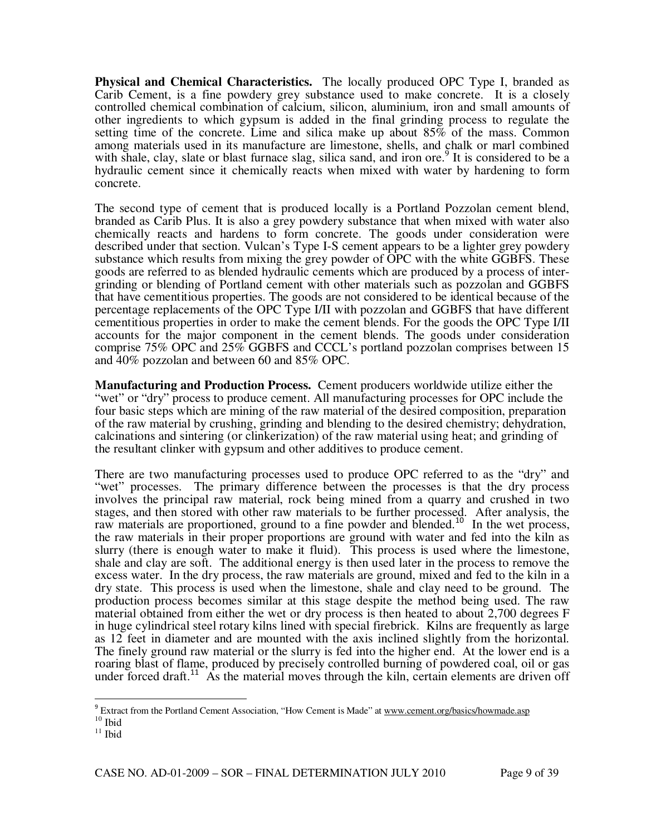**Physical and Chemical Characteristics.** The locally produced OPC Type I, branded as Carib Cement, is a fine powdery grey substance used to make concrete. It is a closely controlled chemical combination of calcium, silicon, aluminium, iron and small amounts of other ingredients to which gypsum is added in the final grinding process to regulate the setting time of the concrete. Lime and silica make up about 85% of the mass. Common among materials used in its manufacture are limestone, shells, and chalk or marl combined with shale, clay, slate or blast furnace slag, silica sand, and iron ore.<sup>9</sup> It is considered to be a hydraulic cement since it chemically reacts when mixed with water by hardening to form concrete.

The second type of cement that is produced locally is a Portland Pozzolan cement blend, branded as Carib Plus. It is also a grey powdery substance that when mixed with water also chemically reacts and hardens to form concrete. The goods under consideration were described under that section. Vulcan's Type I-S cement appears to be a lighter grey powdery substance which results from mixing the grey powder of OPC with the white GGBFS. These goods are referred to as blended hydraulic cements which are produced by a process of intergrinding or blending of Portland cement with other materials such as pozzolan and GGBFS that have cementitious properties. The goods are not considered to be identical because of the percentage replacements of the OPC Type I/II with pozzolan and GGBFS that have different cementitious properties in order to make the cement blends. For the goods the OPC Type I/II accounts for the major component in the cement blends. The goods under consideration comprise 75% OPC and 25% GGBFS and CCCL's portland pozzolan comprises between 15 and 40% pozzolan and between 60 and 85% OPC.

**Manufacturing and Production Process.** Cement producers worldwide utilize either the "wet" or "dry" process to produce cement. All manufacturing processes for OPC include the four basic steps which are mining of the raw material of the desired composition, preparation of the raw material by crushing, grinding and blending to the desired chemistry; dehydration, calcinations and sintering (or clinkerization) of the raw material using heat; and grinding of the resultant clinker with gypsum and other additives to produce cement.

There are two manufacturing processes used to produce OPC referred to as the "dry" and "wet" processes. The primary difference between the processes is that the dry process involves the principal raw material, rock being mined from a quarry and crushed in two stages, and then stored with other raw materials to be further processed. After analysis, the raw materials are proportioned, ground to a fine powder and blended.<sup>10</sup> In the wet process, the raw materials in their proper proportions are ground with water and fed into the kiln as slurry (there is enough water to make it fluid). This process is used where the limestone, shale and clay are soft. The additional energy is then used later in the process to remove the excess water. In the dry process, the raw materials are ground, mixed and fed to the kiln in a dry state. This process is used when the limestone, shale and clay need to be ground. The production process becomes similar at this stage despite the method being used. The raw material obtained from either the wet or dry process is then heated to about 2,700 degrees F in huge cylindrical steel rotary kilns lined with special firebrick. Kilns are frequently as large as 12 feet in diameter and are mounted with the axis inclined slightly from the horizontal. The finely ground raw material or the slurry is fed into the higher end. At the lower end is a roaring blast of flame, produced by precisely controlled burning of powdered coal, oil or gas under forced draft.<sup>11</sup> As the material moves through the kiln, certain elements are driven off

 $\overline{a}$ 

<sup>&</sup>lt;sup>9</sup> Extract from the Portland Cement Association, "How Cement is Made" at www.cement.org/basics/howmade.asp  $^{10}$  Ibid

 $11$  Ibid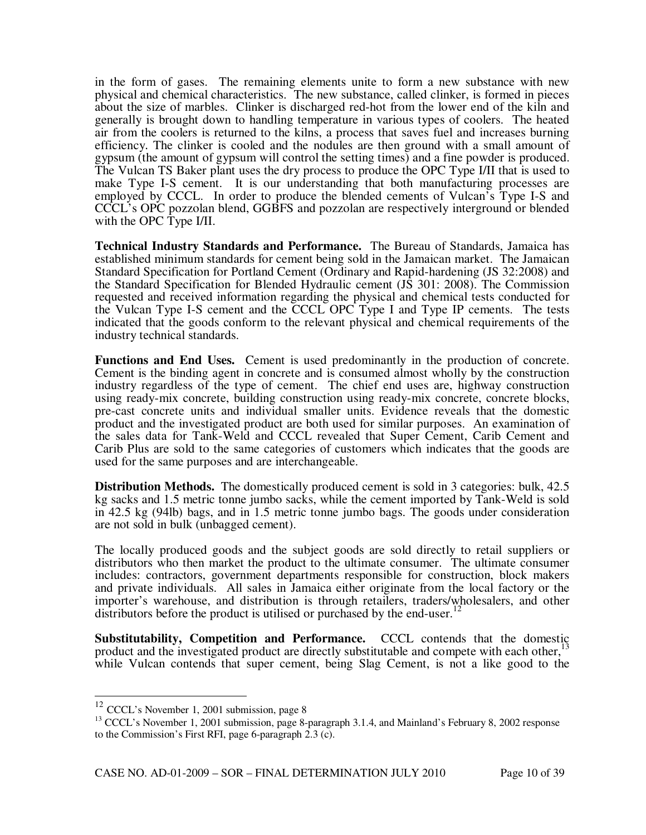in the form of gases. The remaining elements unite to form a new substance with new physical and chemical characteristics. The new substance, called clinker, is formed in pieces about the size of marbles. Clinker is discharged red-hot from the lower end of the kiln and generally is brought down to handling temperature in various types of coolers. The heated air from the coolers is returned to the kilns, a process that saves fuel and increases burning efficiency. The clinker is cooled and the nodules are then ground with a small amount of gypsum (the amount of gypsum will control the setting times) and a fine powder is produced. The Vulcan TS Baker plant uses the dry process to produce the OPC Type I/II that is used to make Type I-S cement. It is our understanding that both manufacturing processes are employed by CCCL. In order to produce the blended cements of Vulcan's Type I-S and CCCL's OPC pozzolan blend, GGBFS and pozzolan are respectively interground or blended with the OPC Type I/II.

**Technical Industry Standards and Performance.** The Bureau of Standards, Jamaica has established minimum standards for cement being sold in the Jamaican market. The Jamaican Standard Specification for Portland Cement (Ordinary and Rapid-hardening (JS 32:2008) and the Standard Specification for Blended Hydraulic cement (JS 301: 2008). The Commission requested and received information regarding the physical and chemical tests conducted for the Vulcan Type I-S cement and the CCCL OPC Type I and Type IP cements. The tests indicated that the goods conform to the relevant physical and chemical requirements of the industry technical standards.

**Functions and End Uses.** Cement is used predominantly in the production of concrete. Cement is the binding agent in concrete and is consumed almost wholly by the construction industry regardless of the type of cement. The chief end uses are, highway construction using ready-mix concrete, building construction using ready-mix concrete, concrete blocks, pre-cast concrete units and individual smaller units. Evidence reveals that the domestic product and the investigated product are both used for similar purposes. An examination of the sales data for Tank-Weld and CCCL revealed that Super Cement, Carib Cement and Carib Plus are sold to the same categories of customers which indicates that the goods are used for the same purposes and are interchangeable.

**Distribution Methods.** The domestically produced cement is sold in 3 categories: bulk, 42.5 kg sacks and 1.5 metric tonne jumbo sacks, while the cement imported by Tank-Weld is sold in 42.5 kg (94lb) bags, and in 1.5 metric tonne jumbo bags. The goods under consideration are not sold in bulk (unbagged cement).

The locally produced goods and the subject goods are sold directly to retail suppliers or distributors who then market the product to the ultimate consumer. The ultimate consumer includes: contractors, government departments responsible for construction, block makers and private individuals. All sales in Jamaica either originate from the local factory or the importer's warehouse, and distribution is through retailers, traders/wholesalers, and other distributors before the product is utilised or purchased by the end-user.<sup>1</sup>

**Substitutability, Competition and Performance.** CCCL contends that the domestic product and the investigated product are directly substitutable and compete with each other,<sup>1</sup> while Vulcan contends that super cement, being Slag Cement, is not a like good to the

 $\overline{\phantom{a}}$ 

<sup>&</sup>lt;sup>12</sup> CCCL's November 1, 2001 submission, page 8

<sup>&</sup>lt;sup>13</sup> CCCL's November 1, 2001 submission, page 8-paragraph 3.1.4, and Mainland's February 8, 2002 response to the Commission's First RFI, page 6-paragraph 2.3 (c).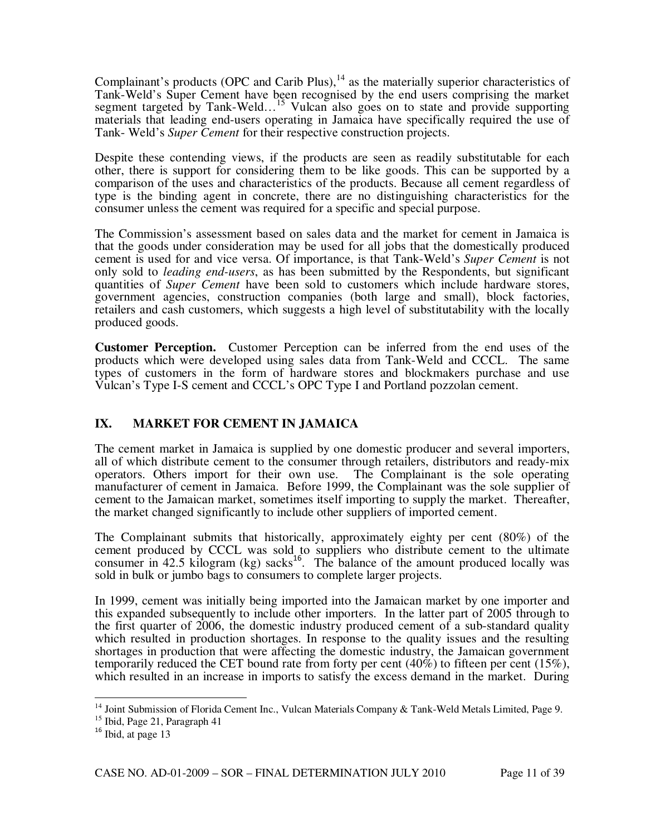Complainant's products (OPC and Carib Plus), $14$  as the materially superior characteristics of Tank-Weld's Super Cement have been recognised by the end users comprising the market segment targeted by Tank-Weld…<sup>15</sup> Vulcan also goes on to state and provide supporting materials that leading end-users operating in Jamaica have specifically required the use of Tank- Weld's *Super Cement* for their respective construction projects.

Despite these contending views, if the products are seen as readily substitutable for each other, there is support for considering them to be like goods. This can be supported by a comparison of the uses and characteristics of the products. Because all cement regardless of type is the binding agent in concrete, there are no distinguishing characteristics for the consumer unless the cement was required for a specific and special purpose.

The Commission's assessment based on sales data and the market for cement in Jamaica is that the goods under consideration may be used for all jobs that the domestically produced cement is used for and vice versa. Of importance, is that Tank-Weld's *Super Cement* is not only sold to *leading end-users*, as has been submitted by the Respondents, but significant quantities of *Super Cement* have been sold to customers which include hardware stores, government agencies, construction companies (both large and small), block factories, retailers and cash customers, which suggests a high level of substitutability with the locally produced goods.

**Customer Perception.** Customer Perception can be inferred from the end uses of the products which were developed using sales data from Tank-Weld and CCCL. The same types of customers in the form of hardware stores and blockmakers purchase and use Vulcan's Type I-S cement and CCCL's OPC Type I and Portland pozzolan cement.

## **IX. MARKET FOR CEMENT IN JAMAICA**

The cement market in Jamaica is supplied by one domestic producer and several importers, all of which distribute cement to the consumer through retailers, distributors and ready-mix operators. Others import for their own use. The Complainant is the sole operating manufacturer of cement in Jamaica. Before 1999, the Complainant was the sole supplier of cement to the Jamaican market, sometimes itself importing to supply the market. Thereafter, the market changed significantly to include other suppliers of imported cement.

The Complainant submits that historically, approximately eighty per cent (80%) of the cement produced by CCCL was sold to suppliers who distribute cement to the ultimate consumer in  $42.5$  kilogram (kg) sacks<sup>16</sup>. The balance of the amount produced locally was sold in bulk or jumbo bags to consumers to complete larger projects.

In 1999, cement was initially being imported into the Jamaican market by one importer and this expanded subsequently to include other importers. In the latter part of 2005 through to the first quarter of 2006, the domestic industry produced cement of a sub-standard quality which resulted in production shortages. In response to the quality issues and the resulting shortages in production that were affecting the domestic industry, the Jamaican government temporarily reduced the CET bound rate from forty per cent (40%) to fifteen per cent (15%), which resulted in an increase in imports to satisfy the excess demand in the market. During

 $\overline{a}$ 

<sup>&</sup>lt;sup>14</sup> Joint Submission of Florida Cement Inc., Vulcan Materials Company & Tank-Weld Metals Limited, Page 9.

<sup>15</sup> Ibid, Page 21, Paragraph 41

 $16$  Ibid, at page 13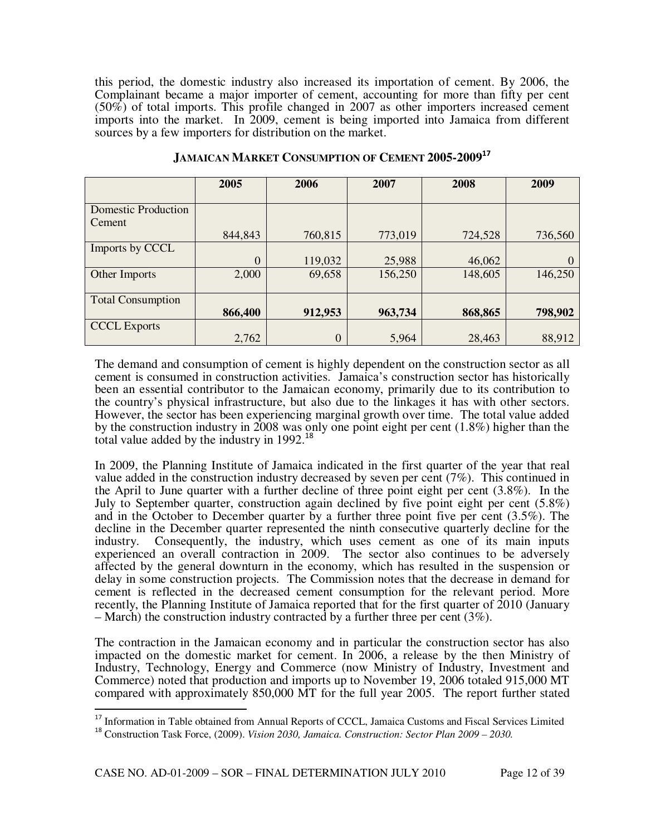this period, the domestic industry also increased its importation of cement. By 2006, the Complainant became a major importer of cement, accounting for more than fifty per cent (50%) of total imports. This profile changed in 2007 as other importers increased cement imports into the market. In 2009, cement is being imported into Jamaica from different sources by a few importers for distribution on the market.

|                            | 2005     | 2006           | 2007    | 2008    | 2009    |
|----------------------------|----------|----------------|---------|---------|---------|
|                            |          |                |         |         |         |
| <b>Domestic Production</b> |          |                |         |         |         |
| Cement                     |          |                |         |         |         |
|                            | 844,843  | 760,815        | 773,019 | 724,528 | 736,560 |
| Imports by CCCL            |          |                |         |         |         |
|                            | $\theta$ | 119,032        | 25,988  | 46,062  |         |
| Other Imports              | 2,000    | 69,658         | 156,250 | 148,605 | 146,250 |
|                            |          |                |         |         |         |
| <b>Total Consumption</b>   |          |                |         |         |         |
|                            | 866,400  | 912,953        | 963,734 | 868,865 | 798,902 |
| <b>CCCL</b> Exports        |          |                |         |         |         |
|                            | 2,762    | $\overline{0}$ | 5,964   | 28,463  | 88,912  |

#### **JAMAICAN MARKET CONSUMPTION OF CEMENT 2005-2009<sup>17</sup>**

The demand and consumption of cement is highly dependent on the construction sector as all cement is consumed in construction activities. Jamaica's construction sector has historically been an essential contributor to the Jamaican economy, primarily due to its contribution to the country's physical infrastructure, but also due to the linkages it has with other sectors. However, the sector has been experiencing marginal growth over time. The total value added by the construction industry in 2008 was only one point eight per cent (1.8%) higher than the total value added by the industry in 1992.<sup>18</sup>

In 2009, the Planning Institute of Jamaica indicated in the first quarter of the year that real value added in the construction industry decreased by seven per cent (7%). This continued in the April to June quarter with a further decline of three point eight per cent (3.8%). In the July to September quarter, construction again declined by five point eight per cent (5.8%) and in the October to December quarter by a further three point five per cent (3.5%). The decline in the December quarter represented the ninth consecutive quarterly decline for the industry. Consequently, the industry, which uses cement as one of its main inputs experienced an overall contraction in 2009. The sector also continues to be adversely affected by the general downturn in the economy, which has resulted in the suspension or delay in some construction projects. The Commission notes that the decrease in demand for cement is reflected in the decreased cement consumption for the relevant period. More recently, the Planning Institute of Jamaica reported that for the first quarter of 2010 (January – March) the construction industry contracted by a further three per cent (3%).

The contraction in the Jamaican economy and in particular the construction sector has also impacted on the domestic market for cement. In 2006, a release by the then Ministry of Industry, Technology, Energy and Commerce (now Ministry of Industry, Investment and Commerce) noted that production and imports up to November 19, 2006 totaled 915,000 MT compared with approximately 850,000 MT for the full year 2005. The report further stated

l

<sup>&</sup>lt;sup>17</sup> Information in Table obtained from Annual Reports of CCCL, Jamaica Customs and Fiscal Services Limited

<sup>18</sup> Construction Task Force, (2009). *Vision 2030, Jamaica. Construction: Sector Plan 2009 – 2030.*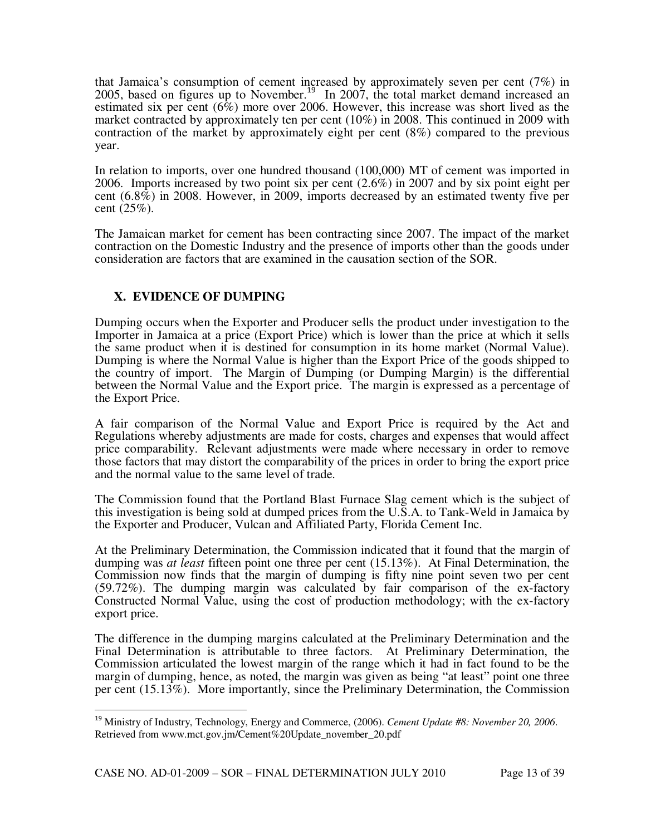that Jamaica's consumption of cement increased by approximately seven per cent (7%) in 2005, based on figures up to November.<sup>19</sup> In 2007, the total market demand increased an estimated six per cent (6%) more over 2006. However, this increase was short lived as the market contracted by approximately ten per cent (10%) in 2008. This continued in 2009 with contraction of the market by approximately eight per cent (8%) compared to the previous year.

In relation to imports, over one hundred thousand (100,000) MT of cement was imported in 2006. Imports increased by two point six per cent (2.6%) in 2007 and by six point eight per cent (6.8%) in 2008. However, in 2009, imports decreased by an estimated twenty five per cent (25%).

The Jamaican market for cement has been contracting since 2007. The impact of the market contraction on the Domestic Industry and the presence of imports other than the goods under consideration are factors that are examined in the causation section of the SOR.

## **X. EVIDENCE OF DUMPING**

l

Dumping occurs when the Exporter and Producer sells the product under investigation to the Importer in Jamaica at a price (Export Price) which is lower than the price at which it sells the same product when it is destined for consumption in its home market (Normal Value). Dumping is where the Normal Value is higher than the Export Price of the goods shipped to the country of import. The Margin of Dumping (or Dumping Margin) is the differential between the Normal Value and the Export price. The margin is expressed as a percentage of the Export Price.

A fair comparison of the Normal Value and Export Price is required by the Act and Regulations whereby adjustments are made for costs, charges and expenses that would affect price comparability. Relevant adjustments were made where necessary in order to remove those factors that may distort the comparability of the prices in order to bring the export price and the normal value to the same level of trade.

The Commission found that the Portland Blast Furnace Slag cement which is the subject of this investigation is being sold at dumped prices from the U.S.A. to Tank-Weld in Jamaica by the Exporter and Producer, Vulcan and Affiliated Party, Florida Cement Inc.

At the Preliminary Determination, the Commission indicated that it found that the margin of dumping was *at least* fifteen point one three per cent (15.13%). At Final Determination, the Commission now finds that the margin of dumping is fifty nine point seven two per cent (59.72%). The dumping margin was calculated by fair comparison of the ex-factory Constructed Normal Value, using the cost of production methodology; with the ex-factory export price.

The difference in the dumping margins calculated at the Preliminary Determination and the Final Determination is attributable to three factors. At Preliminary Determination, the Commission articulated the lowest margin of the range which it had in fact found to be the margin of dumping, hence, as noted, the margin was given as being "at least" point one three per cent (15.13%). More importantly, since the Preliminary Determination, the Commission

<sup>19</sup> Ministry of Industry, Technology, Energy and Commerce, (2006). *Cement Update #8: November 20, 2006*. Retrieved from www.mct.gov.jm/Cement%20Update\_november\_20.pdf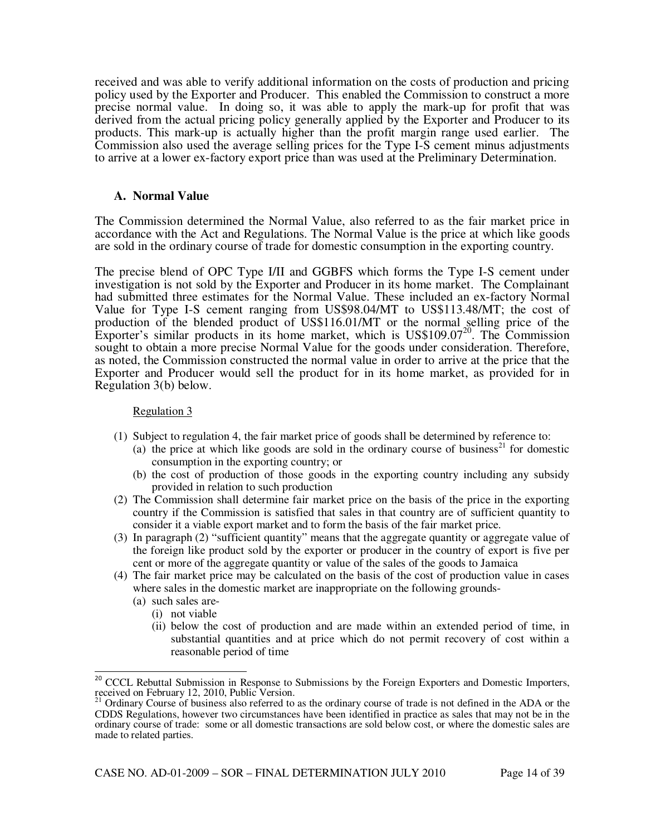received and was able to verify additional information on the costs of production and pricing policy used by the Exporter and Producer. This enabled the Commission to construct a more precise normal value. In doing so, it was able to apply the mark-up for profit that was derived from the actual pricing policy generally applied by the Exporter and Producer to its products. This mark-up is actually higher than the profit margin range used earlier. The Commission also used the average selling prices for the Type I-S cement minus adjustments to arrive at a lower ex-factory export price than was used at the Preliminary Determination.

#### **A. Normal Value**

The Commission determined the Normal Value, also referred to as the fair market price in accordance with the Act and Regulations. The Normal Value is the price at which like goods are sold in the ordinary course of trade for domestic consumption in the exporting country.

The precise blend of OPC Type I/II and GGBFS which forms the Type I-S cement under investigation is not sold by the Exporter and Producer in its home market. The Complainant had submitted three estimates for the Normal Value. These included an ex-factory Normal Value for Type I-S cement ranging from US\$98.04/MT to US\$113.48/MT; the cost of production of the blended product of US\$116.01/MT or the normal selling price of the Exporter's similar products in its home market, which is  $US$109.07<sup>20</sup>$ . The Commission sought to obtain a more precise Normal Value for the goods under consideration. Therefore, as noted, the Commission constructed the normal value in order to arrive at the price that the Exporter and Producer would sell the product for in its home market, as provided for in Regulation 3(b) below.

#### Regulation 3

- (1) Subject to regulation 4, the fair market price of goods shall be determined by reference to:
	- (a) the price at which like goods are sold in the ordinary course of business<sup>21</sup> for domestic consumption in the exporting country; or
	- (b) the cost of production of those goods in the exporting country including any subsidy provided in relation to such production
- (2) The Commission shall determine fair market price on the basis of the price in the exporting country if the Commission is satisfied that sales in that country are of sufficient quantity to consider it a viable export market and to form the basis of the fair market price.
- (3) In paragraph (2) "sufficient quantity" means that the aggregate quantity or aggregate value of the foreign like product sold by the exporter or producer in the country of export is five per cent or more of the aggregate quantity or value of the sales of the goods to Jamaica
- (4) The fair market price may be calculated on the basis of the cost of production value in cases where sales in the domestic market are inappropriate on the following grounds-
	- (a) such sales are-

 $\overline{\phantom{a}}$ 

- (i) not viable
- (ii) below the cost of production and are made within an extended period of time, in substantial quantities and at price which do not permit recovery of cost within a reasonable period of time

<sup>&</sup>lt;sup>20</sup> CCCL Rebuttal Submission in Response to Submissions by the Foreign Exporters and Domestic Importers, received on February 12, 2010, Public Version.<br><sup>21</sup> Ordinany Causes Co.

<sup>21</sup> Ordinary Course of business also referred to as the ordinary course of trade is not defined in the ADA or the CDDS Regulations, however two circumstances have been identified in practice as sales that may not be in the ordinary course of trade: some or all domestic transactions are sold below cost, or where the domestic sales are made to related parties.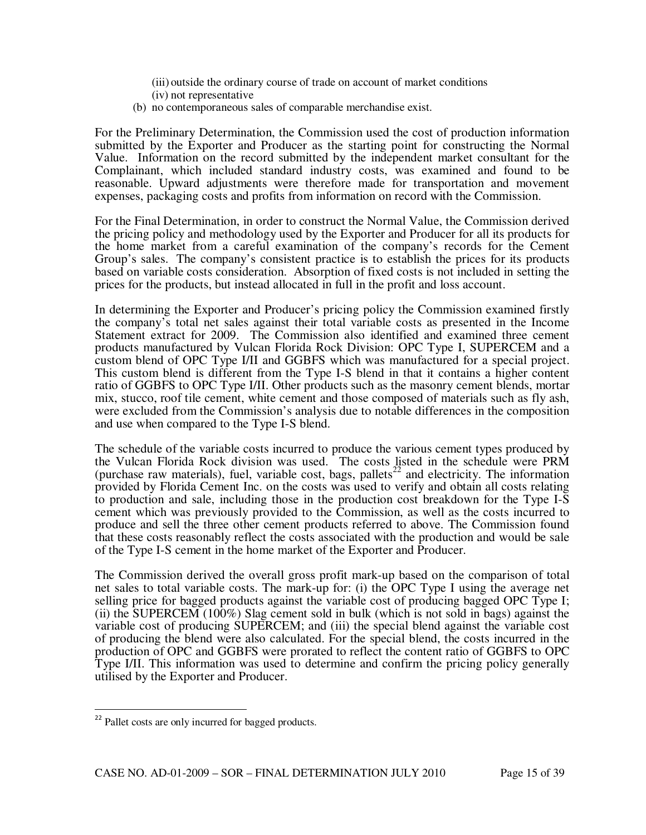- (iii) outside the ordinary course of trade on account of market conditions (iv) not representative
- (b) no contemporaneous sales of comparable merchandise exist.

For the Preliminary Determination, the Commission used the cost of production information submitted by the Exporter and Producer as the starting point for constructing the Normal Value. Information on the record submitted by the independent market consultant for the Complainant, which included standard industry costs, was examined and found to be reasonable. Upward adjustments were therefore made for transportation and movement expenses, packaging costs and profits from information on record with the Commission.

For the Final Determination, in order to construct the Normal Value, the Commission derived the pricing policy and methodology used by the Exporter and Producer for all its products for the home market from a careful examination of the company's records for the Cement Group's sales. The company's consistent practice is to establish the prices for its products based on variable costs consideration. Absorption of fixed costs is not included in setting the prices for the products, but instead allocated in full in the profit and loss account.

In determining the Exporter and Producer's pricing policy the Commission examined firstly the company's total net sales against their total variable costs as presented in the Income Statement extract for 2009. The Commission also identified and examined three cement products manufactured by Vulcan Florida Rock Division: OPC Type I, SUPERCEM and a custom blend of OPC Type I/II and GGBFS which was manufactured for a special project. This custom blend is different from the Type I-S blend in that it contains a higher content ratio of GGBFS to OPC Type I/II. Other products such as the masonry cement blends, mortar mix, stucco, roof tile cement, white cement and those composed of materials such as fly ash, were excluded from the Commission's analysis due to notable differences in the composition and use when compared to the Type I-S blend.

The schedule of the variable costs incurred to produce the various cement types produced by the Vulcan Florida Rock division was used. The costs listed in the schedule were PRM (purchase raw materials), fuel, variable cost, bags, pallets<sup>22</sup> and electricity. The information provided by Florida Cement Inc. on the costs was used to verify and obtain all costs relating to production and sale, including those in the production cost breakdown for the Type I-S cement which was previously provided to the Commission, as well as the costs incurred to produce and sell the three other cement products referred to above. The Commission found that these costs reasonably reflect the costs associated with the production and would be sale of the Type I-S cement in the home market of the Exporter and Producer.

The Commission derived the overall gross profit mark-up based on the comparison of total net sales to total variable costs. The mark-up for: (i) the OPC Type I using the average net selling price for bagged products against the variable cost of producing bagged OPC Type I; (ii) the SUPERCEM (100%) Slag cement sold in bulk (which is not sold in bags) against the variable cost of producing SUPERCEM; and (iii) the special blend against the variable cost of producing the blend were also calculated. For the special blend, the costs incurred in the production of OPC and GGBFS were prorated to reflect the content ratio of GGBFS to OPC Type I/II. This information was used to determine and confirm the pricing policy generally utilised by the Exporter and Producer.

 $\overline{a}$ 

<sup>&</sup>lt;sup>22</sup> Pallet costs are only incurred for bagged products.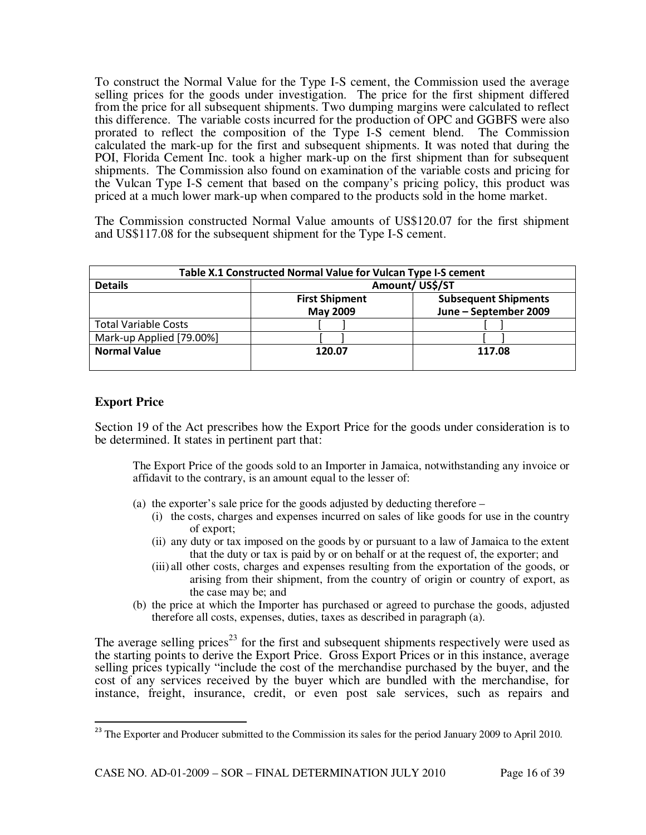To construct the Normal Value for the Type I-S cement, the Commission used the average selling prices for the goods under investigation. The price for the first shipment differed from the price for all subsequent shipments. Two dumping margins were calculated to reflect this difference. The variable costs incurred for the production of OPC and GGBFS were also prorated to reflect the composition of the Type I-S cement blend. The Commission calculated the mark-up for the first and subsequent shipments. It was noted that during the POI, Florida Cement Inc. took a higher mark-up on the first shipment than for subsequent shipments. The Commission also found on examination of the variable costs and pricing for the Vulcan Type I-S cement that based on the company's pricing policy, this product was priced at a much lower mark-up when compared to the products sold in the home market.

The Commission constructed Normal Value amounts of US\$120.07 for the first shipment and US\$117.08 for the subsequent shipment for the Type I-S cement.

| Table X.1 Constructed Normal Value for Vulcan Type I-S cement |                                          |                                                      |  |  |
|---------------------------------------------------------------|------------------------------------------|------------------------------------------------------|--|--|
| <b>Details</b>                                                | Amount/US\$/ST                           |                                                      |  |  |
|                                                               | <b>First Shipment</b><br><b>May 2009</b> | <b>Subsequent Shipments</b><br>June - September 2009 |  |  |
| <b>Total Variable Costs</b>                                   |                                          |                                                      |  |  |
| Mark-up Applied [79.00%]                                      |                                          |                                                      |  |  |
| <b>Normal Value</b>                                           | 120.07                                   | 117.08                                               |  |  |

## **Export Price**

l

Section 19 of the Act prescribes how the Export Price for the goods under consideration is to be determined. It states in pertinent part that:

The Export Price of the goods sold to an Importer in Jamaica, notwithstanding any invoice or affidavit to the contrary, is an amount equal to the lesser of:

- (a) the exporter's sale price for the goods adjusted by deducting therefore
	- (i) the costs, charges and expenses incurred on sales of like goods for use in the country of export;
	- (ii) any duty or tax imposed on the goods by or pursuant to a law of Jamaica to the extent that the duty or tax is paid by or on behalf or at the request of, the exporter; and
	- (iii) all other costs, charges and expenses resulting from the exportation of the goods, or arising from their shipment, from the country of origin or country of export, as the case may be; and
- (b) the price at which the Importer has purchased or agreed to purchase the goods, adjusted therefore all costs, expenses, duties, taxes as described in paragraph (a).

The average selling prices<sup>23</sup> for the first and subsequent shipments respectively were used as the starting points to derive the Export Price. Gross Export Prices or in this instance, average selling prices typically "include the cost of the merchandise purchased by the buyer, and the cost of any services received by the buyer which are bundled with the merchandise, for instance, freight, insurance, credit, or even post sale services, such as repairs and

<sup>&</sup>lt;sup>23</sup> The Exporter and Producer submitted to the Commission its sales for the period January 2009 to April 2010.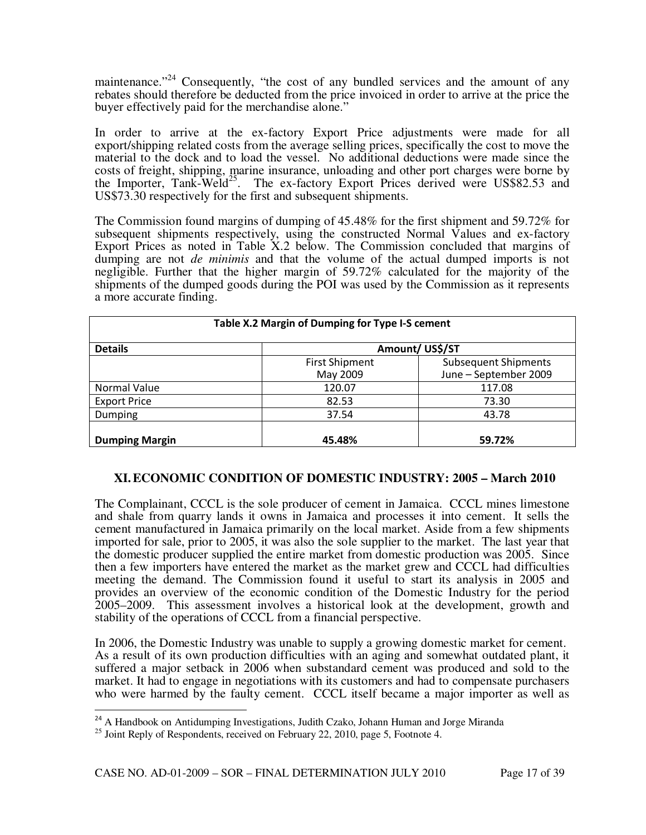maintenance."<sup>24</sup> Consequently, "the cost of any bundled services and the amount of any rebates should therefore be deducted from the price invoiced in order to arrive at the price the buyer effectively paid for the merchandise alone."

In order to arrive at the ex-factory Export Price adjustments were made for all export/shipping related costs from the average selling prices, specifically the cost to move the material to the dock and to load the vessel. No additional deductions were made since the costs of freight, shipping, marine insurance, unloading and other port charges were borne by the Importer, Tank-Weld<sup>25</sup>. The ex-factory Export Prices derived were US\$82.53 and US\$73.30 respectively for the first and subsequent shipments.

The Commission found margins of dumping of 45.48% for the first shipment and 59.72% for subsequent shipments respectively, using the constructed Normal Values and ex-factory Export Prices as noted in Table X.2 below. The Commission concluded that margins of dumping are not *de minimis* and that the volume of the actual dumped imports is not negligible. Further that the higher margin of 59.72% calculated for the majority of the shipments of the dumped goods during the POI was used by the Commission as it represents a more accurate finding.

| Table X.2 Margin of Dumping for Type I-S cement |                       |                             |  |  |  |
|-------------------------------------------------|-----------------------|-----------------------------|--|--|--|
| <b>Details</b>                                  | Amount/US\$/ST        |                             |  |  |  |
|                                                 | <b>First Shipment</b> | <b>Subsequent Shipments</b> |  |  |  |
|                                                 | May 2009              | June - September 2009       |  |  |  |
| Normal Value                                    | 120.07                | 117.08                      |  |  |  |
| <b>Export Price</b>                             | 82.53                 | 73.30                       |  |  |  |
| 37.54<br>Dumping                                |                       | 43.78                       |  |  |  |
|                                                 |                       |                             |  |  |  |
| <b>Dumping Margin</b><br>45.48%<br>59.72%       |                       |                             |  |  |  |

## **XI.ECONOMIC CONDITION OF DOMESTIC INDUSTRY: 2005 – March 2010**

The Complainant, CCCL is the sole producer of cement in Jamaica. CCCL mines limestone and shale from quarry lands it owns in Jamaica and processes it into cement. It sells the cement manufactured in Jamaica primarily on the local market. Aside from a few shipments imported for sale, prior to 2005, it was also the sole supplier to the market. The last year that the domestic producer supplied the entire market from domestic production was 2005. Since then a few importers have entered the market as the market grew and CCCL had difficulties meeting the demand. The Commission found it useful to start its analysis in 2005 and provides an overview of the economic condition of the Domestic Industry for the period 2005–2009. This assessment involves a historical look at the development, growth and stability of the operations of CCCL from a financial perspective.

In 2006, the Domestic Industry was unable to supply a growing domestic market for cement. As a result of its own production difficulties with an aging and somewhat outdated plant, it suffered a major setback in 2006 when substandard cement was produced and sold to the market. It had to engage in negotiations with its customers and had to compensate purchasers who were harmed by the faulty cement. CCCL itself became a major importer as well as

l

<sup>&</sup>lt;sup>24</sup> A Handbook on Antidumping Investigations, Judith Czako, Johann Human and Jorge Miranda

 $^{25}$  Joint Reply of Respondents, received on February 22, 2010, page 5, Footnote 4.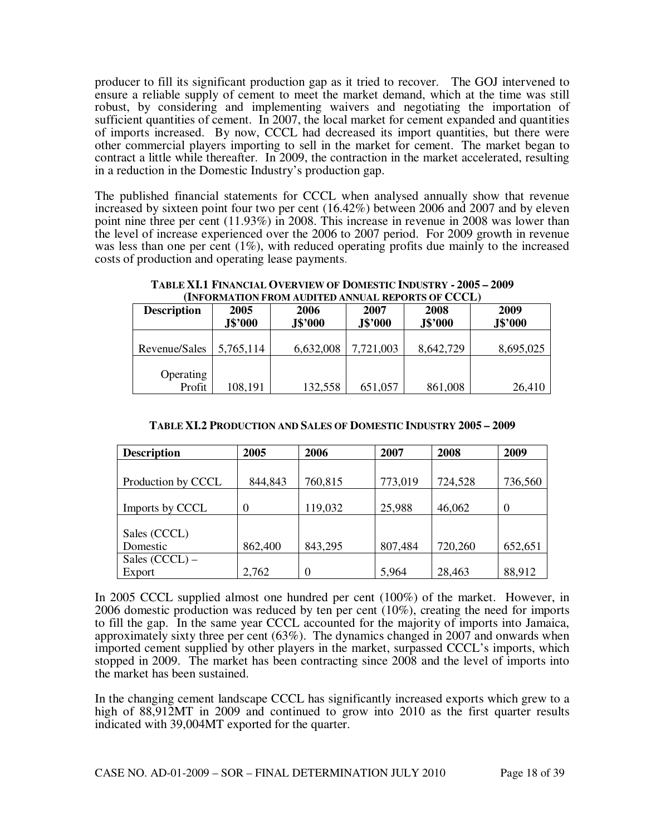producer to fill its significant production gap as it tried to recover. The GOJ intervened to ensure a reliable supply of cement to meet the market demand, which at the time was still robust, by considering and implementing waivers and negotiating the importation of sufficient quantities of cement. In 2007, the local market for cement expanded and quantities of imports increased. By now, CCCL had decreased its import quantities, but there were other commercial players importing to sell in the market for cement. The market began to contract a little while thereafter. In 2009, the contraction in the market accelerated, resulting in a reduction in the Domestic Industry's production gap.

The published financial statements for CCCL when analysed annually show that revenue increased by sixteen point four two per cent (16.42%) between 2006 and 2007 and by eleven point nine three per cent (11.93%) in 2008. This increase in revenue in 2008 was lower than the level of increase experienced over the 2006 to 2007 period. For 2009 growth in revenue was less than one per cent  $(1\%)$ , with reduced operating profits due mainly to the increased costs of production and operating lease payments.

**TABLE XI.1 FINANCIAL OVERVIEW OF DOMESTIC INDUSTRY - 2005 – 2009 (INFORMATION FROM AUDITED ANNUAL REPORTS OF CCCL)** 

| TREONMATION F NOM AUDITED ANNOAL NEI ONTS OF CCCLI |                                                              |           |                 |                 |           |  |  |
|----------------------------------------------------|--------------------------------------------------------------|-----------|-----------------|-----------------|-----------|--|--|
| <b>Description</b>                                 | 2005<br>2006<br>2007<br>J\$'000<br>J\$'000<br><b>J\$'000</b> |           | 2008<br>J\$'000 | 2009<br>J\$'000 |           |  |  |
| Revenue/Sales                                      | 5,765,114                                                    | 6,632,008 | 7,721,003       | 8,642,729       | 8,695,025 |  |  |
| <b>Operating</b><br>Profit                         | 108,191                                                      | 132,558   | 651,057         | 861,008         | 26,410    |  |  |

| TABLE XI.2 PRODUCTION AND SALES OF DOMESTIC INDUSTRY 2005 - 2009 |  |
|------------------------------------------------------------------|--|
|------------------------------------------------------------------|--|

| <b>Description</b> | 2005    | 2006     | 2007    | 2008    | 2009    |
|--------------------|---------|----------|---------|---------|---------|
|                    |         |          |         |         |         |
| Production by CCCL | 844,843 | 760,815  | 773,019 | 724,528 | 736,560 |
|                    |         |          |         |         |         |
| Imports by CCCL    | 0       | 119,032  | 25,988  | 46,062  | 0       |
|                    |         |          |         |         |         |
| Sales (CCCL)       |         |          |         |         |         |
| Domestic           | 862,400 | 843,295  | 807,484 | 720,260 | 652,651 |
| Sales $(CCCL)$ –   |         |          |         |         |         |
| Export             | 2,762   | $\theta$ | 5,964   | 28,463  | 88,912  |

In 2005 CCCL supplied almost one hundred per cent (100%) of the market. However, in 2006 domestic production was reduced by ten per cent (10%), creating the need for imports to fill the gap. In the same year CCCL accounted for the majority of imports into Jamaica, approximately sixty three per cent (63%). The dynamics changed in 2007 and onwards when imported cement supplied by other players in the market, surpassed CCCL's imports, which stopped in 2009. The market has been contracting since 2008 and the level of imports into the market has been sustained.

In the changing cement landscape CCCL has significantly increased exports which grew to a high of 88,912MT in 2009 and continued to grow into 2010 as the first quarter results indicated with 39,004MT exported for the quarter.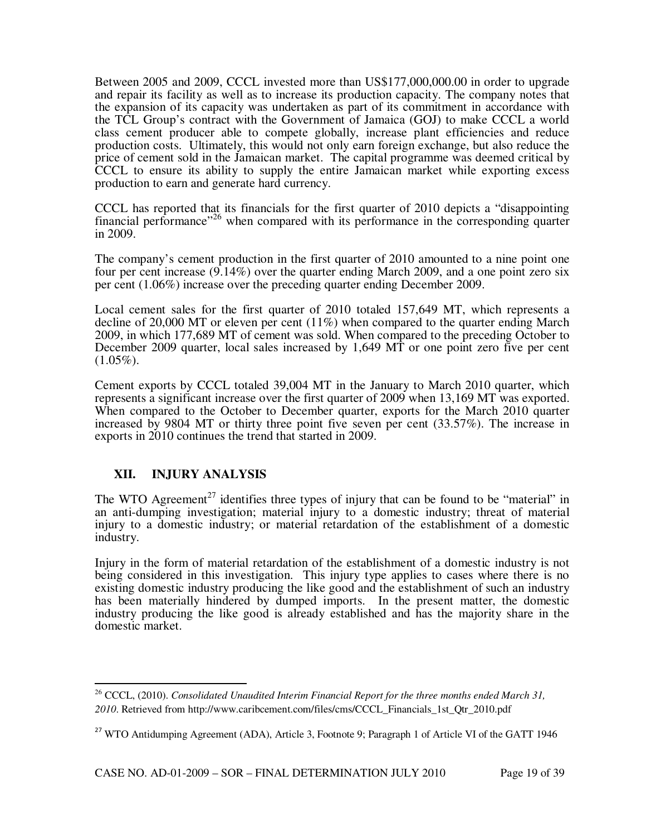Between 2005 and 2009, CCCL invested more than US\$177,000,000.00 in order to upgrade and repair its facility as well as to increase its production capacity. The company notes that the expansion of its capacity was undertaken as part of its commitment in accordance with the TCL Group's contract with the Government of Jamaica (GOJ) to make CCCL a world class cement producer able to compete globally, increase plant efficiencies and reduce production costs. Ultimately, this would not only earn foreign exchange, but also reduce the price of cement sold in the Jamaican market. The capital programme was deemed critical by CCCL to ensure its ability to supply the entire Jamaican market while exporting excess production to earn and generate hard currency.

CCCL has reported that its financials for the first quarter of 2010 depicts a "disappointing financial performance<sup> $26$ </sup> when compared with its performance in the corresponding quarter in 2009.

The company's cement production in the first quarter of 2010 amounted to a nine point one four per cent increase (9.14%) over the quarter ending March 2009, and a one point zero six per cent (1.06%) increase over the preceding quarter ending December 2009.

Local cement sales for the first quarter of 2010 totaled 157,649 MT, which represents a decline of 20,000 MT or eleven per cent (11%) when compared to the quarter ending March 2009, in which 177,689 MT of cement was sold. When compared to the preceding October to December 2009 quarter, local sales increased by 1,649 MT or one point zero five per cent  $(1.05\%).$ 

Cement exports by CCCL totaled 39,004 MT in the January to March 2010 quarter, which represents a significant increase over the first quarter of 2009 when 13,169 MT was exported. When compared to the October to December quarter, exports for the March 2010 quarter increased by 9804 MT or thirty three point five seven per cent (33.57%). The increase in exports in 2010 continues the trend that started in 2009.

## **XII. INJURY ANALYSIS**

 $\overline{a}$ 

The WTO Agreement<sup>27</sup> identifies three types of injury that can be found to be "material" in an anti-dumping investigation; material injury to a domestic industry; threat of material injury to a domestic industry; or material retardation of the establishment of a domestic industry.

Injury in the form of material retardation of the establishment of a domestic industry is not being considered in this investigation. This injury type applies to cases where there is no existing domestic industry producing the like good and the establishment of such an industry has been materially hindered by dumped imports. In the present matter, the domestic industry producing the like good is already established and has the majority share in the domestic market.

<sup>26</sup> CCCL, (2010). *Consolidated Unaudited Interim Financial Report for the three months ended March 31, 2010*. Retrieved from http://www.caribcement.com/files/cms/CCCL\_Financials\_1st\_Qtr\_2010.pdf

<sup>&</sup>lt;sup>27</sup> WTO Antidumping Agreement (ADA), Article 3, Footnote 9; Paragraph 1 of Article VI of the GATT 1946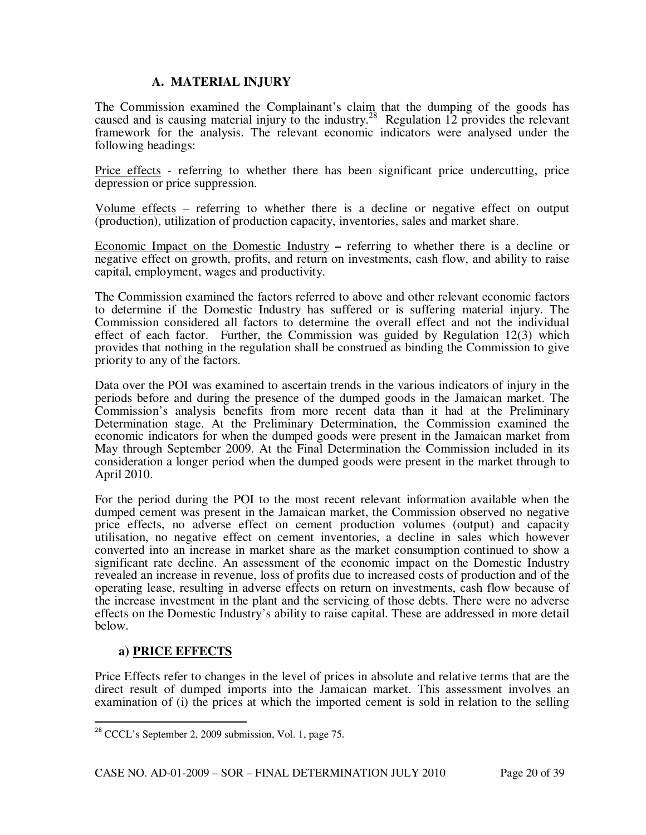## **A. MATERIAL INJURY**

The Commission examined the Complainant's claim that the dumping of the goods has caused and is causing material injury to the industry.<sup>28</sup> Regulation 12 provides the relevant framework for the analysis. The relevant economic indicators were analysed under the following headings:

Price effects - referring to whether there has been significant price undercutting, price depression or price suppression.

Volume effects – referring to whether there is a decline or negative effect on output (production), utilization of production capacity, inventories, sales and market share.

Economic Impact on the Domestic Industry **–** referring to whether there is a decline or negative effect on growth, profits, and return on investments, cash flow, and ability to raise capital, employment, wages and productivity.

The Commission examined the factors referred to above and other relevant economic factors to determine if the Domestic Industry has suffered or is suffering material injury. The Commission considered all factors to determine the overall effect and not the individual effect of each factor. Further, the Commission was guided by Regulation 12(3) which provides that nothing in the regulation shall be construed as binding the Commission to give priority to any of the factors.

Data over the POI was examined to ascertain trends in the various indicators of injury in the periods before and during the presence of the dumped goods in the Jamaican market. The Commission's analysis benefits from more recent data than it had at the Preliminary Determination stage. At the Preliminary Determination, the Commission examined the economic indicators for when the dumped goods were present in the Jamaican market from May through September 2009. At the Final Determination the Commission included in its consideration a longer period when the dumped goods were present in the market through to April 2010.

For the period during the POI to the most recent relevant information available when the dumped cement was present in the Jamaican market, the Commission observed no negative price effects, no adverse effect on cement production volumes (output) and capacity utilisation, no negative effect on cement inventories, a decline in sales which however converted into an increase in market share as the market consumption continued to show a significant rate decline. An assessment of the economic impact on the Domestic Industry revealed an increase in revenue, loss of profits due to increased costs of production and of the operating lease, resulting in adverse effects on return on investments, cash flow because of the increase investment in the plant and the servicing of those debts. There were no adverse effects on the Domestic Industry's ability to raise capital. These are addressed in more detail below.

## **a) PRICE EFFECTS**

l

Price Effects refer to changes in the level of prices in absolute and relative terms that are the direct result of dumped imports into the Jamaican market. This assessment involves an examination of (i) the prices at which the imported cement is sold in relation to the selling

<sup>&</sup>lt;sup>28</sup> CCCL's September 2, 2009 submission, Vol. 1, page 75.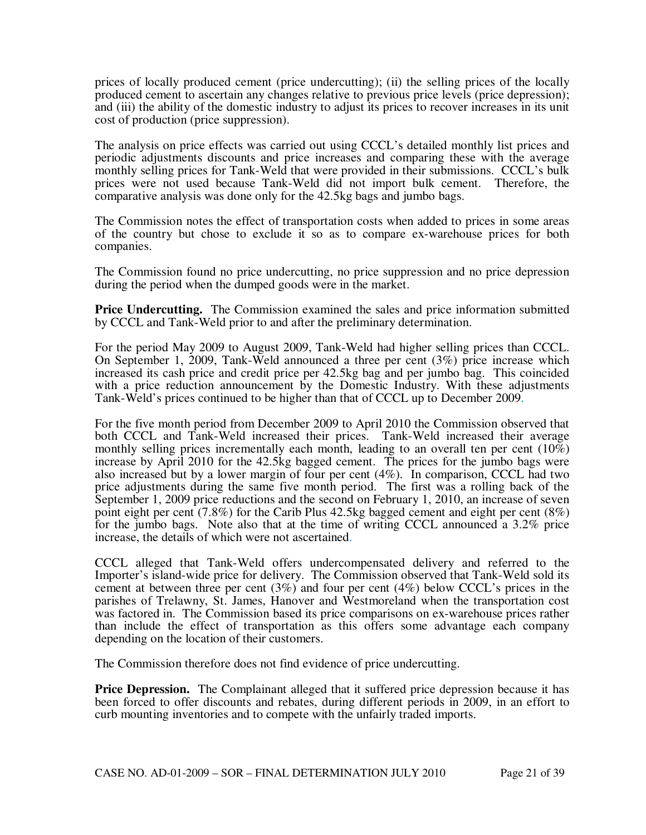prices of locally produced cement (price undercutting); (ii) the selling prices of the locally produced cement to ascertain any changes relative to previous price levels (price depression); and (iii) the ability of the domestic industry to adjust its prices to recover increases in its unit cost of production (price suppression).

The analysis on price effects was carried out using CCCL's detailed monthly list prices and periodic adjustments discounts and price increases and comparing these with the average monthly selling prices for Tank-Weld that were provided in their submissions. CCCL's bulk prices were not used because Tank-Weld did not import bulk cement. Therefore, the comparative analysis was done only for the 42.5kg bags and jumbo bags.

The Commission notes the effect of transportation costs when added to prices in some areas of the country but chose to exclude it so as to compare ex-warehouse prices for both companies.

The Commission found no price undercutting, no price suppression and no price depression during the period when the dumped goods were in the market.

**Price Undercutting.** The Commission examined the sales and price information submitted by CCCL and Tank-Weld prior to and after the preliminary determination.

For the period May 2009 to August 2009, Tank-Weld had higher selling prices than CCCL. On September 1, 2009, Tank-Weld announced a three per cent (3%) price increase which increased its cash price and credit price per 42.5kg bag and per jumbo bag. This coincided with a price reduction announcement by the Domestic Industry. With these adjustments Tank-Weld's prices continued to be higher than that of CCCL up to December 2009.

For the five month period from December 2009 to April 2010 the Commission observed that both CCCL and Tank-Weld increased their prices. Tank-Weld increased their average monthly selling prices incrementally each month, leading to an overall ten per cent  $(10\%)$ increase by April 2010 for the 42.5kg bagged cement. The prices for the jumbo bags were also increased but by a lower margin of four per cent (4%). In comparison, CCCL had two price adjustments during the same five month period. The first was a rolling back of the September 1, 2009 price reductions and the second on February 1, 2010, an increase of seven point eight per cent (7.8%) for the Carib Plus 42.5kg bagged cement and eight per cent (8%) for the jumbo bags. Note also that at the time of writing CCCL announced a 3.2% price increase, the details of which were not ascertained.

CCCL alleged that Tank-Weld offers undercompensated delivery and referred to the Importer's island-wide price for delivery. The Commission observed that Tank-Weld sold its cement at between three per cent (3%) and four per cent (4%) below CCCL's prices in the parishes of Trelawny, St. James, Hanover and Westmoreland when the transportation cost was factored in. The Commission based its price comparisons on ex-warehouse prices rather than include the effect of transportation as this offers some advantage each company depending on the location of their customers.

The Commission therefore does not find evidence of price undercutting.

**Price Depression.** The Complainant alleged that it suffered price depression because it has been forced to offer discounts and rebates, during different periods in 2009, in an effort to curb mounting inventories and to compete with the unfairly traded imports.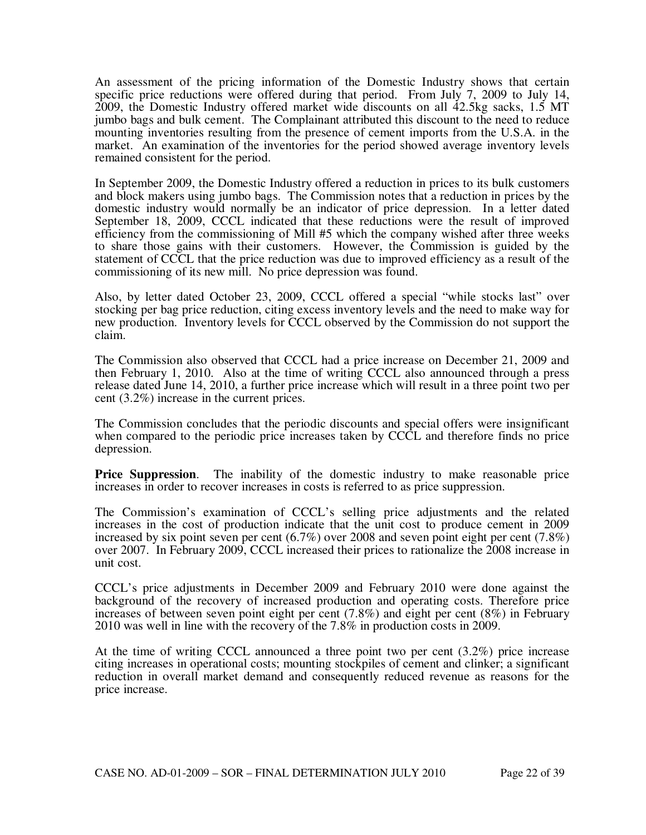An assessment of the pricing information of the Domestic Industry shows that certain specific price reductions were offered during that period. From July 7, 2009 to July 14, 2009, the Domestic Industry offered market wide discounts on all 42.5kg sacks, 1.5 MT jumbo bags and bulk cement. The Complainant attributed this discount to the need to reduce mounting inventories resulting from the presence of cement imports from the U.S.A. in the market. An examination of the inventories for the period showed average inventory levels remained consistent for the period.

In September 2009, the Domestic Industry offered a reduction in prices to its bulk customers and block makers using jumbo bags. The Commission notes that a reduction in prices by the domestic industry would normally be an indicator of price depression. In a letter dated September 18, 2009, CCCL indicated that these reductions were the result of improved efficiency from the commissioning of Mill #5 which the company wished after three weeks to share those gains with their customers. However, the Commission is guided by the statement of CCCL that the price reduction was due to improved efficiency as a result of the commissioning of its new mill. No price depression was found.

Also, by letter dated October 23, 2009, CCCL offered a special "while stocks last" over stocking per bag price reduction, citing excess inventory levels and the need to make way for new production. Inventory levels for CCCL observed by the Commission do not support the claim.

The Commission also observed that CCCL had a price increase on December 21, 2009 and then February 1, 2010. Also at the time of writing CCCL also announced through a press release dated June 14, 2010, a further price increase which will result in a three point two per cent (3.2%) increase in the current prices.

The Commission concludes that the periodic discounts and special offers were insignificant when compared to the periodic price increases taken by CCCL and therefore finds no price depression.

**Price Suppression.** The inability of the domestic industry to make reasonable price increases in order to recover increases in costs is referred to as price suppression.

The Commission's examination of CCCL's selling price adjustments and the related increases in the cost of production indicate that the unit cost to produce cement in 2009 increased by six point seven per cent  $(6.7%)$  over 2008 and seven point eight per cent  $(7.8%)$ over 2007. In February 2009, CCCL increased their prices to rationalize the 2008 increase in unit cost.

CCCL's price adjustments in December 2009 and February 2010 were done against the background of the recovery of increased production and operating costs. Therefore price increases of between seven point eight per cent (7.8%) and eight per cent (8%) in February 2010 was well in line with the recovery of the 7.8% in production costs in 2009.

At the time of writing CCCL announced a three point two per cent (3.2%) price increase citing increases in operational costs; mounting stockpiles of cement and clinker; a significant reduction in overall market demand and consequently reduced revenue as reasons for the price increase.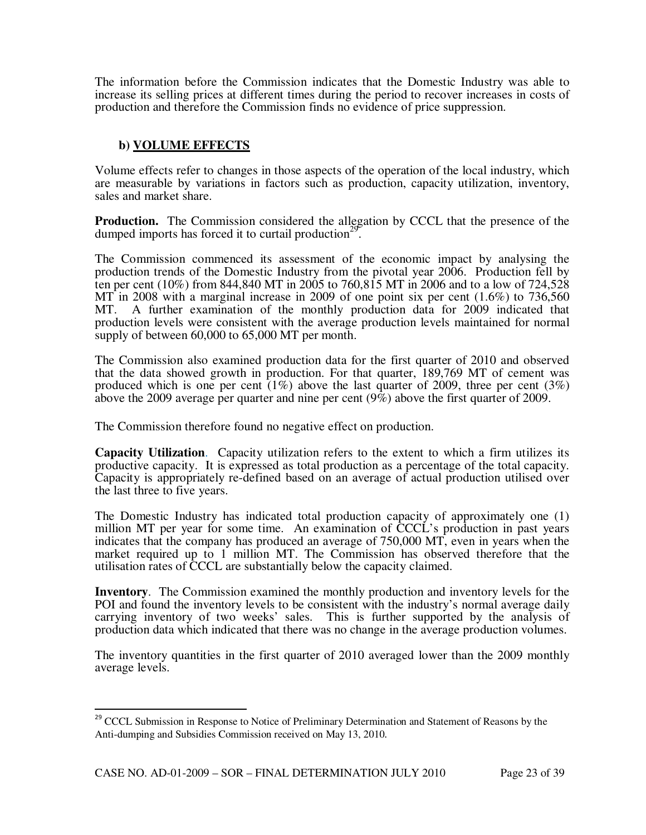The information before the Commission indicates that the Domestic Industry was able to increase its selling prices at different times during the period to recover increases in costs of production and therefore the Commission finds no evidence of price suppression.

## **b) VOLUME EFFECTS**

Volume effects refer to changes in those aspects of the operation of the local industry, which are measurable by variations in factors such as production, capacity utilization, inventory, sales and market share.

**Production.** The Commission considered the allegation by CCCL that the presence of the dumped imports has forced it to curtail production<sup>29</sup>.

The Commission commenced its assessment of the economic impact by analysing the production trends of the Domestic Industry from the pivotal year 2006. Production fell by ten per cent (10%) from 844,840 MT in 2005 to 760,815 MT in 2006 and to a low of 724,528 MT in 2008 with a marginal increase in 2009 of one point six per cent  $(1.6\%)$  to 736,560 MT. A further examination of the monthly production data for 2009 indicated that production levels were consistent with the average production levels maintained for normal supply of between 60,000 to 65,000 MT per month.

The Commission also examined production data for the first quarter of 2010 and observed that the data showed growth in production. For that quarter, 189,769 MT of cement was produced which is one per cent  $(1\%)$  above the last quarter of 2009, three per cent  $(3\%)$ above the 2009 average per quarter and nine per cent (9%) above the first quarter of 2009.

The Commission therefore found no negative effect on production.

**Capacity Utilization**. Capacity utilization refers to the extent to which a firm utilizes its productive capacity. It is expressed as total production as a percentage of the total capacity. Capacity is appropriately re-defined based on an average of actual production utilised over the last three to five years.

The Domestic Industry has indicated total production capacity of approximately one (1) million MT per year for some time. An examination of CCCL's production in past years indicates that the company has produced an average of 750,000 MT, even in years when the market required up to 1 million MT. The Commission has observed therefore that the utilisation rates of CCCL are substantially below the capacity claimed.

**Inventory**. The Commission examined the monthly production and inventory levels for the POI and found the inventory levels to be consistent with the industry's normal average daily carrying inventory of two weeks' sales. This is further supported by the analysis of production data which indicated that there was no change in the average production volumes.

The inventory quantities in the first quarter of 2010 averaged lower than the 2009 monthly average levels.

l

<sup>&</sup>lt;sup>29</sup> CCCL Submission in Response to Notice of Preliminary Determination and Statement of Reasons by the Anti-dumping and Subsidies Commission received on May 13, 2010.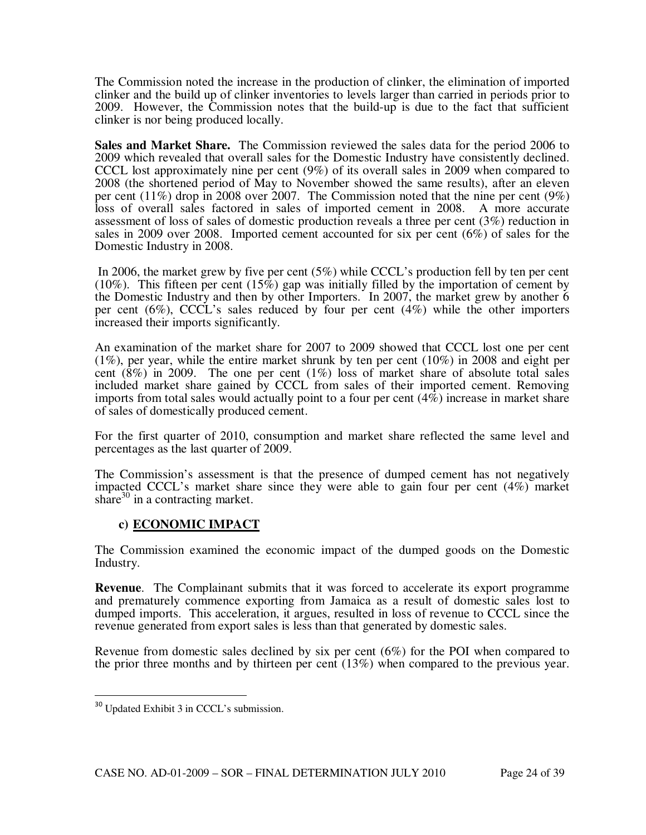The Commission noted the increase in the production of clinker, the elimination of imported clinker and the build up of clinker inventories to levels larger than carried in periods prior to 2009. However, the Commission notes that the build-up is due to the fact that sufficient clinker is nor being produced locally.

**Sales and Market Share.** The Commission reviewed the sales data for the period 2006 to 2009 which revealed that overall sales for the Domestic Industry have consistently declined. CCCL lost approximately nine per cent (9%) of its overall sales in 2009 when compared to 2008 (the shortened period of May to November showed the same results), after an eleven per cent (11%) drop in 2008 over 2007. The Commission noted that the nine per cent (9%) loss of overall sales factored in sales of imported cement in 2008. A more accurate assessment of loss of sales of domestic production reveals a three per cent (3%) reduction in sales in 2009 over 2008. Imported cement accounted for six per cent (6%) of sales for the Domestic Industry in 2008.

 In 2006, the market grew by five per cent (5%) while CCCL's production fell by ten per cent (10%). This fifteen per cent (15%) gap was initially filled by the importation of cement by the Domestic Industry and then by other Importers. In 2007, the market grew by another 6 per cent (6%), CCCL's sales reduced by four per cent (4%) while the other importers increased their imports significantly.

An examination of the market share for 2007 to 2009 showed that CCCL lost one per cent  $(1\%)$ , per year, while the entire market shrunk by ten per cent  $(10\%)$  in 2008 and eight per cent  $(8\%)$  in 2009. The one per cent  $(1\%)$  loss of market share of absolute total sales included market share gained by CCCL from sales of their imported cement. Removing imports from total sales would actually point to a four per cent (4%) increase in market share of sales of domestically produced cement.

For the first quarter of 2010, consumption and market share reflected the same level and percentages as the last quarter of 2009.

The Commission's assessment is that the presence of dumped cement has not negatively impacted CCCL's market share since they were able to gain four per cent (4%) market share $30$  in a contracting market.

## **c) ECONOMIC IMPACT**

The Commission examined the economic impact of the dumped goods on the Domestic Industry.

**Revenue**. The Complainant submits that it was forced to accelerate its export programme and prematurely commence exporting from Jamaica as a result of domestic sales lost to dumped imports. This acceleration, it argues, resulted in loss of revenue to CCCL since the revenue generated from export sales is less than that generated by domestic sales.

Revenue from domestic sales declined by six per cent (6%) for the POI when compared to the prior three months and by thirteen per cent (13%) when compared to the previous year.

 $\overline{a}$ 

<sup>&</sup>lt;sup>30</sup> Updated Exhibit 3 in CCCL's submission.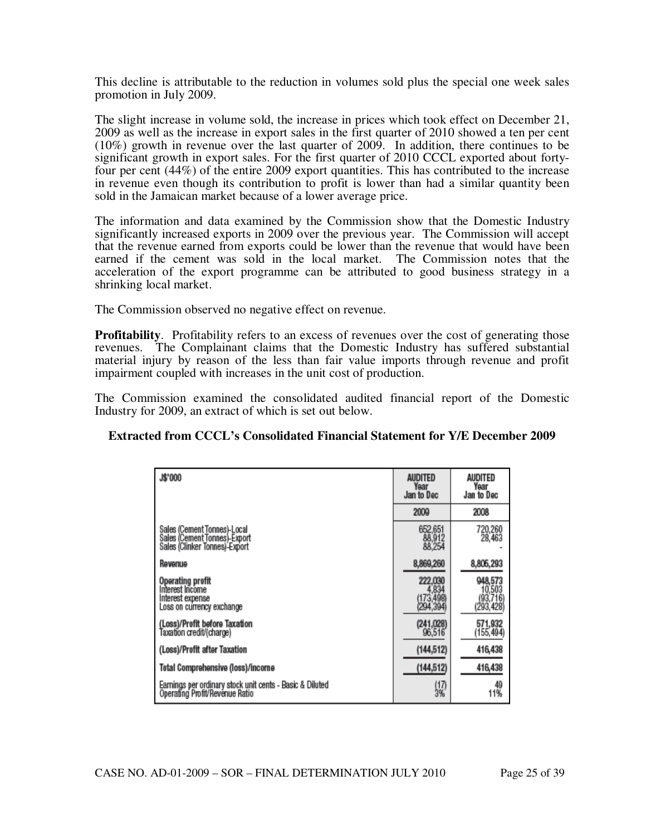This decline is attributable to the reduction in volumes sold plus the special one week sales promotion in July 2009.

The slight increase in volume sold, the increase in prices which took effect on December 21, 2009 as well as the increase in export sales in the first quarter of 2010 showed a ten per cent (10%) growth in revenue over the last quarter of 2009. In addition, there continues to be significant growth in export sales. For the first quarter of 2010 CCCL exported about fortyfour per cent (44%) of the entire 2009 export quantities. This has contributed to the increase in revenue even though its contribution to profit is lower than had a similar quantity been sold in the Jamaican market because of a lower average price.

The information and data examined by the Commission show that the Domestic Industry significantly increased exports in 2009 over the previous year. The Commission will accept that the revenue earned from exports could be lower than the revenue that would have been earned if the cement was sold in the local market. The Commission notes that the acceleration of the export programme can be attributed to good business strategy in a shrinking local market.

The Commission observed no negative effect on revenue.

**Profitability.** Profitability refers to an excess of revenues over the cost of generating those revenues. The Complainant claims that the Domestic Industry has suffered substantial material injury by reason of the less than fair value imports through revenue and profit impairment coupled with increases in the unit cost of production.

The Commission examined the consolidated audited financial report of the Domestic Industry for 2009, an extract of which is set out below.

#### **Extracted from CCCL's Consolidated Financial Statement for Y/E December 2009**

| <b>J\$'000</b>                                                                               | AUDITED<br>Year<br>Jan to Dec              | AUDITED<br>Year<br>Jan to Dec              |
|----------------------------------------------------------------------------------------------|--------------------------------------------|--------------------------------------------|
|                                                                                              | 2009                                       | 2008                                       |
| Sales (Cement Tonnes)-Local<br>Sales (Cement Tonnes)-Export<br>Sales (Clinker Tonnes) Export | 652,651<br>88,912<br>88,254                | 720,260<br>28,463                          |
| Revenue                                                                                      | 8,869,260                                  | 8,805,293                                  |
| <b>Operating profit</b><br>Interest Income<br>Interest expense<br>Loss on currency exchange  | 222,030<br>4,834<br>(173,498)<br>(294,394) | 948,573<br>10,503<br>(93,716)<br>(293,428) |
| (Loss)/Profit before Taxation<br>Taxation credit/(charge)                                    | (241,028)<br>96,516                        | 571,932<br>(155,494)                       |
| (Loss)/Profit after Taxation                                                                 | (144, 512)                                 | 416,438                                    |
| Total Comprehensive (loss)/income                                                            | (144, 512)                                 | 416,438                                    |
| Earnings per ordinary stock unit cents - Basic & Diluted<br>Operating Profit/Revenue Ratio   | $\frac{17}{3\%}$                           | 49<br>11%                                  |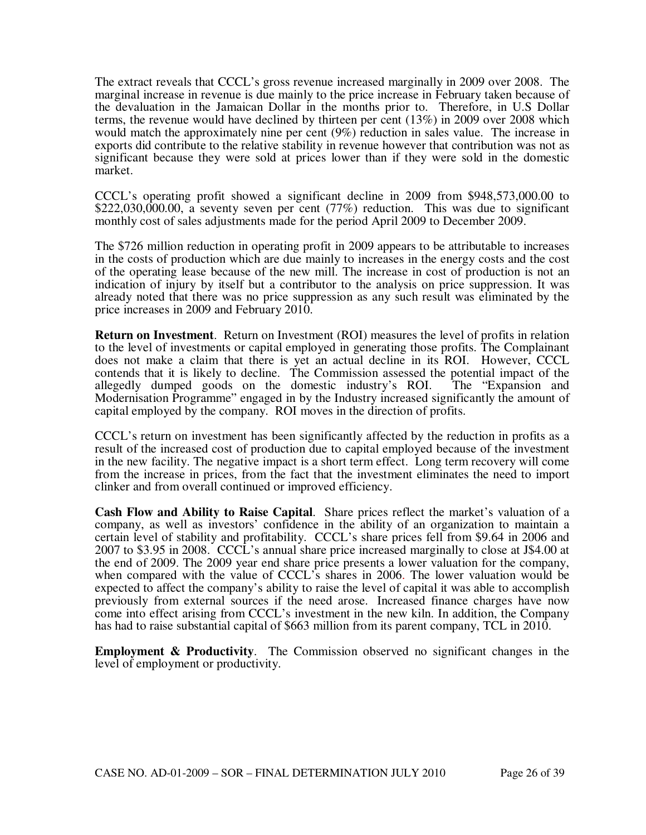The extract reveals that CCCL's gross revenue increased marginally in 2009 over 2008. The marginal increase in revenue is due mainly to the price increase in February taken because of the devaluation in the Jamaican Dollar in the months prior to. Therefore, in U.S Dollar terms, the revenue would have declined by thirteen per cent (13%) in 2009 over 2008 which would match the approximately nine per cent (9%) reduction in sales value. The increase in exports did contribute to the relative stability in revenue however that contribution was not as significant because they were sold at prices lower than if they were sold in the domestic market.

CCCL's operating profit showed a significant decline in 2009 from \$948,573,000.00 to \$222,030,000.00, a seventy seven per cent (77%) reduction. This was due to significant monthly cost of sales adjustments made for the period April 2009 to December 2009.

The \$726 million reduction in operating profit in 2009 appears to be attributable to increases in the costs of production which are due mainly to increases in the energy costs and the cost of the operating lease because of the new mill. The increase in cost of production is not an indication of injury by itself but a contributor to the analysis on price suppression. It was already noted that there was no price suppression as any such result was eliminated by the price increases in 2009 and February 2010.

**Return on Investment**. Return on Investment (ROI) measures the level of profits in relation to the level of investments or capital employed in generating those profits. The Complainant does not make a claim that there is yet an actual decline in its ROI. However, CCCL contends that it is likely to decline. The Commission assessed the potential impact of the allegedly dumped goods on the domestic industry's ROI. The "Expansion and Modernisation Programme" engaged in by the Industry increased significantly the amount of capital employed by the company. ROI moves in the direction of profits.

CCCL's return on investment has been significantly affected by the reduction in profits as a result of the increased cost of production due to capital employed because of the investment in the new facility. The negative impact is a short term effect. Long term recovery will come from the increase in prices, from the fact that the investment eliminates the need to import clinker and from overall continued or improved efficiency.

**Cash Flow and Ability to Raise Capital**. Share prices reflect the market's valuation of a company, as well as investors' confidence in the ability of an organization to maintain a certain level of stability and profitability. CCCL's share prices fell from \$9.64 in 2006 and 2007 to \$3.95 in 2008. CCCL's annual share price increased marginally to close at J\$4.00 at the end of 2009. The 2009 year end share price presents a lower valuation for the company, when compared with the value of CCCL's shares in 2006. The lower valuation would be expected to affect the company's ability to raise the level of capital it was able to accomplish previously from external sources if the need arose. Increased finance charges have now come into effect arising from CCCL's investment in the new kiln. In addition, the Company has had to raise substantial capital of \$663 million from its parent company, TCL in 2010.

**Employment & Productivity**. The Commission observed no significant changes in the level of employment or productivity.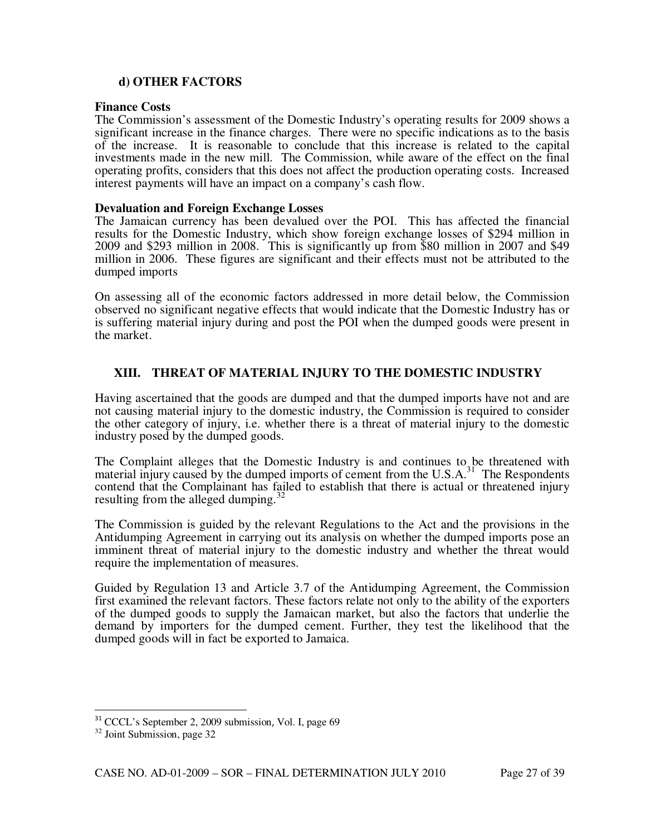## **d) OTHER FACTORS**

#### **Finance Costs**

The Commission's assessment of the Domestic Industry's operating results for 2009 shows a significant increase in the finance charges. There were no specific indications as to the basis of the increase. It is reasonable to conclude that this increase is related to the capital investments made in the new mill. The Commission, while aware of the effect on the final operating profits, considers that this does not affect the production operating costs. Increased interest payments will have an impact on a company's cash flow.

#### **Devaluation and Foreign Exchange Losses**

The Jamaican currency has been devalued over the POI. This has affected the financial results for the Domestic Industry, which show foreign exchange losses of \$294 million in 2009 and \$293 million in 2008. This is significantly up from \$80 million in 2007 and \$49 million in 2006. These figures are significant and their effects must not be attributed to the dumped imports

On assessing all of the economic factors addressed in more detail below, the Commission observed no significant negative effects that would indicate that the Domestic Industry has or is suffering material injury during and post the POI when the dumped goods were present in the market.

#### **XIII. THREAT OF MATERIAL INJURY TO THE DOMESTIC INDUSTRY**

Having ascertained that the goods are dumped and that the dumped imports have not and are not causing material injury to the domestic industry, the Commission is required to consider the other category of injury, i.e. whether there is a threat of material injury to the domestic industry posed by the dumped goods.

The Complaint alleges that the Domestic Industry is and continues to be threatened with material injury caused by the dumped imports of cement from the  $U.S.A.<sup>31</sup>$  The Respondents contend that the Complainant has failed to establish that there is actual or threatened injury resulting from the alleged dumping.<sup>3</sup>

The Commission is guided by the relevant Regulations to the Act and the provisions in the Antidumping Agreement in carrying out its analysis on whether the dumped imports pose an imminent threat of material injury to the domestic industry and whether the threat would require the implementation of measures.

Guided by Regulation 13 and Article 3.7 of the Antidumping Agreement, the Commission first examined the relevant factors. These factors relate not only to the ability of the exporters of the dumped goods to supply the Jamaican market, but also the factors that underlie the demand by importers for the dumped cement. Further, they test the likelihood that the dumped goods will in fact be exported to Jamaica.

l

<sup>&</sup>lt;sup>31</sup> CCCL's September 2, 2009 submission, Vol. I, page 69

<sup>32</sup> Joint Submission, page 32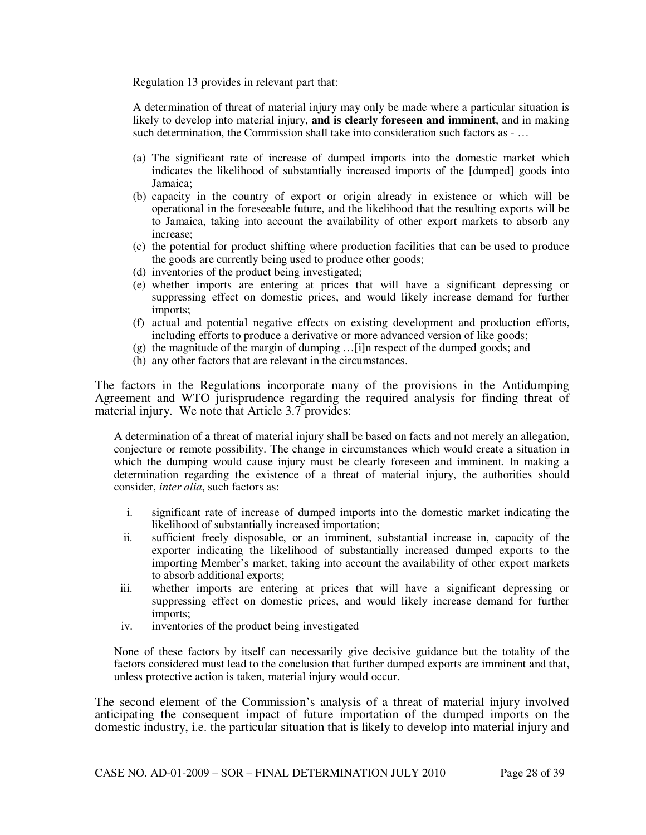Regulation 13 provides in relevant part that:

A determination of threat of material injury may only be made where a particular situation is likely to develop into material injury, **and is clearly foreseen and imminent**, and in making such determination, the Commission shall take into consideration such factors as - …

- (a) The significant rate of increase of dumped imports into the domestic market which indicates the likelihood of substantially increased imports of the [dumped] goods into Jamaica;
- (b) capacity in the country of export or origin already in existence or which will be operational in the foreseeable future, and the likelihood that the resulting exports will be to Jamaica, taking into account the availability of other export markets to absorb any increase;
- (c) the potential for product shifting where production facilities that can be used to produce the goods are currently being used to produce other goods;
- (d) inventories of the product being investigated;
- (e) whether imports are entering at prices that will have a significant depressing or suppressing effect on domestic prices, and would likely increase demand for further imports;
- (f) actual and potential negative effects on existing development and production efforts, including efforts to produce a derivative or more advanced version of like goods;
- (g) the magnitude of the margin of dumping …[i]n respect of the dumped goods; and
- (h) any other factors that are relevant in the circumstances.

The factors in the Regulations incorporate many of the provisions in the Antidumping Agreement and WTO jurisprudence regarding the required analysis for finding threat of material injury. We note that Article 3.7 provides:

A determination of a threat of material injury shall be based on facts and not merely an allegation, conjecture or remote possibility. The change in circumstances which would create a situation in which the dumping would cause injury must be clearly foreseen and imminent. In making a determination regarding the existence of a threat of material injury, the authorities should consider, *inter alia*, such factors as:

- i. significant rate of increase of dumped imports into the domestic market indicating the likelihood of substantially increased importation;
- ii. sufficient freely disposable, or an imminent, substantial increase in, capacity of the exporter indicating the likelihood of substantially increased dumped exports to the importing Member's market, taking into account the availability of other export markets to absorb additional exports;
- iii. whether imports are entering at prices that will have a significant depressing or suppressing effect on domestic prices, and would likely increase demand for further imports;
- iv. inventories of the product being investigated

None of these factors by itself can necessarily give decisive guidance but the totality of the factors considered must lead to the conclusion that further dumped exports are imminent and that, unless protective action is taken, material injury would occur.

The second element of the Commission's analysis of a threat of material injury involved anticipating the consequent impact of future importation of the dumped imports on the domestic industry, i.e. the particular situation that is likely to develop into material injury and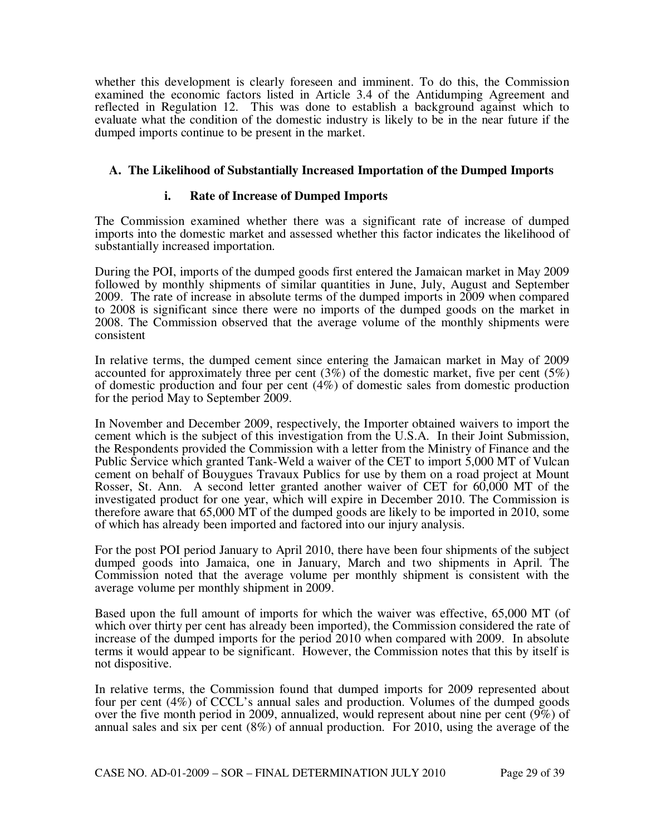whether this development is clearly foreseen and imminent. To do this, the Commission examined the economic factors listed in Article 3.4 of the Antidumping Agreement and reflected in Regulation 12. This was done to establish a background against which to evaluate what the condition of the domestic industry is likely to be in the near future if the dumped imports continue to be present in the market.

## **A. The Likelihood of Substantially Increased Importation of the Dumped Imports**

## **i. Rate of Increase of Dumped Imports**

The Commission examined whether there was a significant rate of increase of dumped imports into the domestic market and assessed whether this factor indicates the likelihood of substantially increased importation.

During the POI, imports of the dumped goods first entered the Jamaican market in May 2009 followed by monthly shipments of similar quantities in June, July, August and September 2009. The rate of increase in absolute terms of the dumped imports in 2009 when compared to 2008 is significant since there were no imports of the dumped goods on the market in 2008. The Commission observed that the average volume of the monthly shipments were consistent

In relative terms, the dumped cement since entering the Jamaican market in May of 2009 accounted for approximately three per cent  $(3\%)$  of the domestic market, five per cent  $(5\%)$ of domestic production and four per cent (4%) of domestic sales from domestic production for the period May to September 2009.

In November and December 2009, respectively, the Importer obtained waivers to import the cement which is the subject of this investigation from the U.S.A. In their Joint Submission, the Respondents provided the Commission with a letter from the Ministry of Finance and the Public Service which granted Tank-Weld a waiver of the CET to import 5,000 MT of Vulcan cement on behalf of Bouygues Travaux Publics for use by them on a road project at Mount Rosser, St. Ann. A second letter granted another waiver of CET for 60,000 MT of the investigated product for one year, which will expire in December 2010. The Commission is therefore aware that 65,000 MT of the dumped goods are likely to be imported in 2010, some of which has already been imported and factored into our injury analysis.

For the post POI period January to April 2010, there have been four shipments of the subject dumped goods into Jamaica, one in January, March and two shipments in April. The Commission noted that the average volume per monthly shipment is consistent with the average volume per monthly shipment in 2009.

Based upon the full amount of imports for which the waiver was effective, 65,000 MT (of which over thirty per cent has already been imported), the Commission considered the rate of increase of the dumped imports for the period 2010 when compared with 2009. In absolute terms it would appear to be significant. However, the Commission notes that this by itself is not dispositive.

In relative terms, the Commission found that dumped imports for 2009 represented about four per cent (4%) of CCCL's annual sales and production. Volumes of the dumped goods over the five month period in 2009, annualized, would represent about nine per cent (9%) of annual sales and six per cent (8%) of annual production. For 2010, using the average of the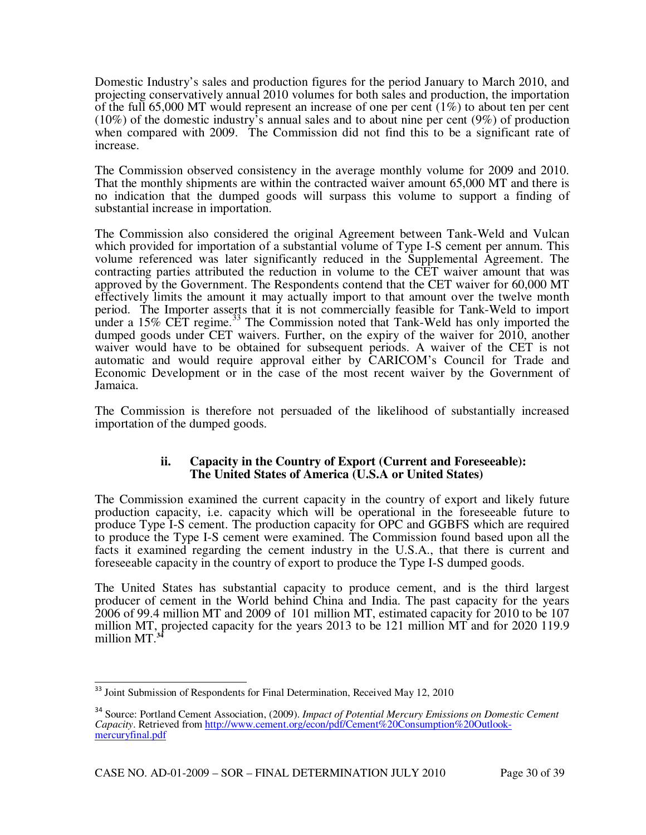Domestic Industry's sales and production figures for the period January to March 2010, and projecting conservatively annual 2010 volumes for both sales and production, the importation of the full 65,000 MT would represent an increase of one per cent  $(1\%)$  to about ten per cent (10%) of the domestic industry's annual sales and to about nine per cent (9%) of production when compared with 2009. The Commission did not find this to be a significant rate of increase.

The Commission observed consistency in the average monthly volume for 2009 and 2010. That the monthly shipments are within the contracted waiver amount 65,000 MT and there is no indication that the dumped goods will surpass this volume to support a finding of substantial increase in importation.

The Commission also considered the original Agreement between Tank-Weld and Vulcan which provided for importation of a substantial volume of Type I-S cement per annum. This volume referenced was later significantly reduced in the Supplemental Agreement. The contracting parties attributed the reduction in volume to the CET waiver amount that was approved by the Government. The Respondents contend that the CET waiver for 60,000 MT effectively limits the amount it may actually import to that amount over the twelve month period. The Importer asserts that it is not commercially feasible for Tank-Weld to import under a  $15\%$  CET regime.<sup>33</sup> The Commission noted that Tank-Weld has only imported the dumped goods under CET waivers. Further, on the expiry of the waiver for 2010, another waiver would have to be obtained for subsequent periods. A waiver of the CET is not automatic and would require approval either by CARICOM's Council for Trade and Economic Development or in the case of the most recent waiver by the Government of Jamaica.

The Commission is therefore not persuaded of the likelihood of substantially increased importation of the dumped goods.

## **ii. Capacity in the Country of Export (Current and Foreseeable): The United States of America (U.S.A or United States)**

The Commission examined the current capacity in the country of export and likely future production capacity, i.e. capacity which will be operational in the foreseeable future to produce Type I-S cement. The production capacity for OPC and GGBFS which are required to produce the Type I-S cement were examined. The Commission found based upon all the facts it examined regarding the cement industry in the U.S.A., that there is current and foreseeable capacity in the country of export to produce the Type I-S dumped goods.

The United States has substantial capacity to produce cement, and is the third largest producer of cement in the World behind China and India. The past capacity for the years 2006 of 99.4 million MT and 2009 of 101 million MT, estimated capacity for 2010 to be 107 million MT, projected capacity for the years 2013 to be 121 million MT and for 2020 119.9 million MT.**<sup>34</sup>**

 $\overline{\phantom{a}}$ <sup>33</sup> Joint Submission of Respondents for Final Determination, Received May 12, 2010

<sup>34</sup> Source: Portland Cement Association, (2009). *Impact of Potential Mercury Emissions on Domestic Cement Capacity*. Retrieved from http://www.cement.org/econ/pdf/Cement%20Consumption%20Outlookmercuryfinal.pdf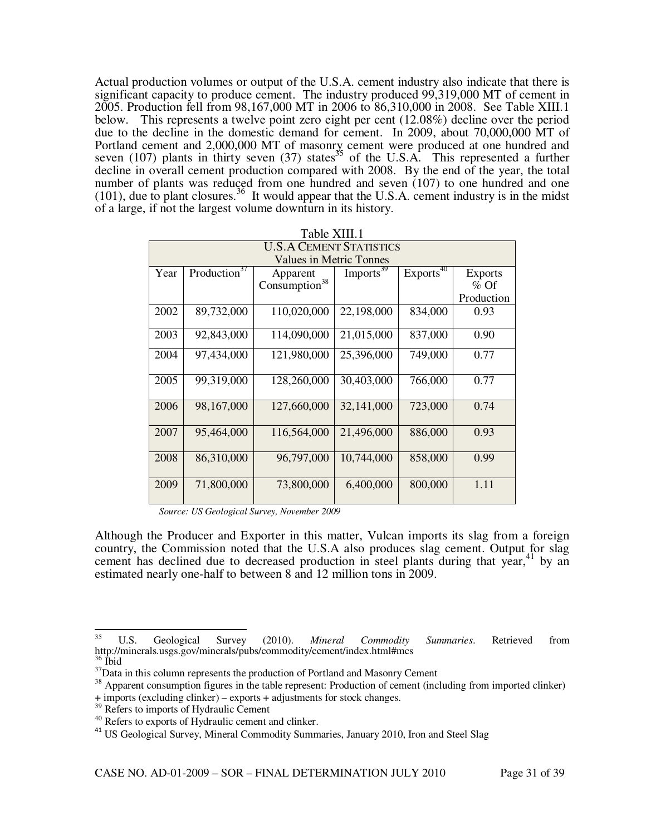Actual production volumes or output of the U.S.A. cement industry also indicate that there is significant capacity to produce cement. The industry produced 99,319,000 MT of cement in 2005. Production fell from 98,167,000 MT in 2006 to 86,310,000 in 2008. See Table XIII.1 below. This represents a twelve point zero eight per cent (12.08%) decline over the period due to the decline in the domestic demand for cement. In 2009, about 70,000,000 MT of Portland cement and 2,000,000 MT of masonry cement were produced at one hundred and seven (107) plants in thirty seven (37) states<sup>35</sup> of the U.S.A. This represented a further decline in overall cement production compared with 2008. By the end of the year, the total number of plants was reduced from one hundred and seven (107) to one hundred and one  $(101)$ , due to plant closures.<sup>36</sup> It would appear that the U.S.A. cement industry is in the midst of a large, if not the largest volume downturn in its history.

|                                | Table XIII.1             |                                |                       |                       |                |  |
|--------------------------------|--------------------------|--------------------------------|-----------------------|-----------------------|----------------|--|
| <b>U.S.A CEMENT STATISTICS</b> |                          |                                |                       |                       |                |  |
|                                |                          | <b>Values in Metric Tonnes</b> |                       |                       |                |  |
| Year                           | Production <sup>37</sup> | Apparent                       | Imports <sup>39</sup> | Exports <sup>40</sup> | <b>Exports</b> |  |
|                                |                          | Consumption <sup>38</sup>      |                       |                       | $%$ Of         |  |
|                                |                          |                                |                       |                       | Production     |  |
| 2002                           | 89,732,000               | 110,020,000                    | 22,198,000            | 834,000               | 0.93           |  |
|                                |                          |                                |                       |                       |                |  |
| 2003                           | 92,843,000               | 114,090,000                    | 21,015,000            | 837,000               | 0.90           |  |
| 2004                           | 97,434,000               | 121,980,000                    | 25,396,000            | 749,000               | 0.77           |  |
|                                |                          |                                |                       |                       |                |  |
| 2005                           | 99,319,000               | 128,260,000                    | 30,403,000            | 766,000               | 0.77           |  |
|                                |                          |                                |                       |                       |                |  |
| 2006                           | 98,167,000               | 127,660,000                    | 32,141,000            | 723,000               | 0.74           |  |
|                                |                          |                                |                       |                       |                |  |
| 2007                           | 95,464,000               | 116,564,000                    | 21,496,000            | 886,000               | 0.93           |  |
|                                |                          |                                |                       |                       |                |  |
| 2008                           | 86,310,000               | 96,797,000                     | 10,744,000            | 858,000               | 0.99           |  |
|                                |                          |                                |                       |                       |                |  |
| 2009                           | 71,800,000               | 73,800,000                     | 6,400,000             | 800,000               | 1.11           |  |
|                                |                          |                                |                       |                       |                |  |

 *Source: US Geological Survey, November 2009* 

Although the Producer and Exporter in this matter, Vulcan imports its slag from a foreign country, the Commission noted that the U.S.A also produces slag cement. Output for slag cement has declined due to decreased production in steel plants during that year,  $41$  by an estimated nearly one-half to between 8 and 12 million tons in 2009.

 $35$ <sup>35</sup> U.S. Geological Survey (2010). *Mineral Commodity Summaries*. Retrieved from http://minerals.usgs.gov/minerals/pubs/commodity/cement/index.html#mcs  $\frac{36}{1}$  Ibid

 $37$ Data in this column represents the production of Portland and Masonry Cement

<sup>&</sup>lt;sup>38</sup> Apparent consumption figures in the table represent: Production of cement (including from imported clinker) + imports (excluding clinker) – exports + adjustments for stock changes.

<sup>&</sup>lt;sup>39</sup> Refers to imports of Hydraulic Cement

<sup>&</sup>lt;sup>40</sup> Refers to exports of Hydraulic cement and clinker.

<sup>&</sup>lt;sup>41</sup> US Geological Survey, Mineral Commodity Summaries, January 2010, Iron and Steel Slag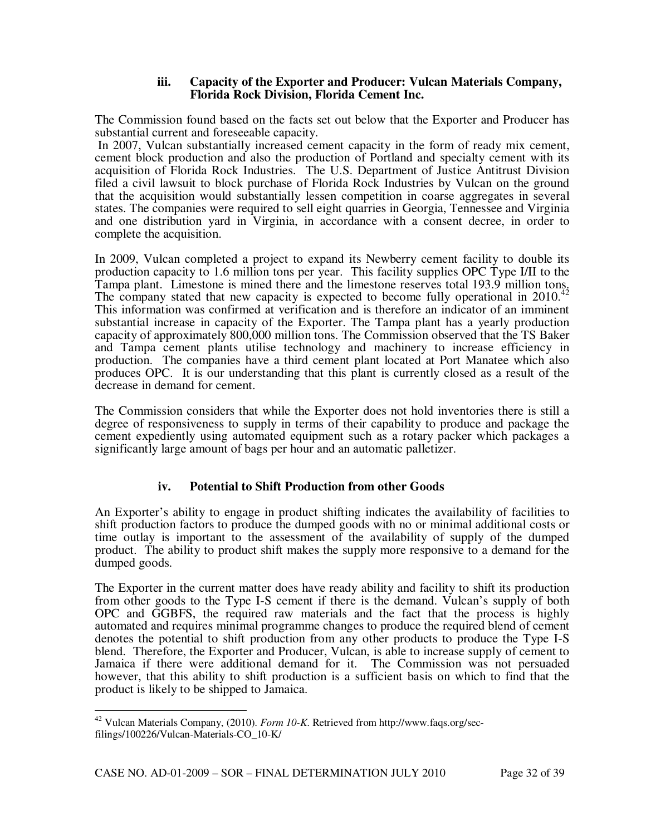#### **iii. Capacity of the Exporter and Producer: Vulcan Materials Company, Florida Rock Division, Florida Cement Inc.**

The Commission found based on the facts set out below that the Exporter and Producer has substantial current and foreseeable capacity.

 In 2007, Vulcan substantially increased cement capacity in the form of ready mix cement, cement block production and also the production of Portland and specialty cement with its acquisition of Florida Rock Industries. The U.S. Department of Justice Antitrust Division filed a civil lawsuit to block purchase of Florida Rock Industries by Vulcan on the ground that the acquisition would substantially lessen competition in coarse aggregates in several states. The companies were required to sell eight quarries in Georgia, Tennessee and Virginia and one distribution yard in Virginia, in accordance with a consent decree, in order to complete the acquisition.

In 2009, Vulcan completed a project to expand its Newberry cement facility to double its production capacity to 1.6 million tons per year. This facility supplies OPC Type I/II to the Tampa plant. Limestone is mined there and the limestone reserves total 193.9 million tons. The company stated that new capacity is expected to become fully operational in 2010.<sup>4</sup> This information was confirmed at verification and is therefore an indicator of an imminent substantial increase in capacity of the Exporter. The Tampa plant has a yearly production capacity of approximately 800,000 million tons. The Commission observed that the TS Baker and Tampa cement plants utilise technology and machinery to increase efficiency in production. The companies have a third cement plant located at Port Manatee which also produces OPC. It is our understanding that this plant is currently closed as a result of the decrease in demand for cement.

The Commission considers that while the Exporter does not hold inventories there is still a degree of responsiveness to supply in terms of their capability to produce and package the cement expediently using automated equipment such as a rotary packer which packages a significantly large amount of bags per hour and an automatic palletizer.

## **iv. Potential to Shift Production from other Goods**

An Exporter's ability to engage in product shifting indicates the availability of facilities to shift production factors to produce the dumped goods with no or minimal additional costs or time outlay is important to the assessment of the availability of supply of the dumped product. The ability to product shift makes the supply more responsive to a demand for the dumped goods.

The Exporter in the current matter does have ready ability and facility to shift its production from other goods to the Type I-S cement if there is the demand. Vulcan's supply of both OPC and GGBFS, the required raw materials and the fact that the process is highly automated and requires minimal programme changes to produce the required blend of cement denotes the potential to shift production from any other products to produce the Type I-S blend. Therefore, the Exporter and Producer, Vulcan, is able to increase supply of cement to Jamaica if there were additional demand for it. The Commission was not persuaded however, that this ability to shift production is a sufficient basis on which to find that the product is likely to be shipped to Jamaica.

l

<sup>42</sup> Vulcan Materials Company, (2010). *Form 10-K*. Retrieved from http://www.faqs.org/secfilings/100226/Vulcan-Materials-CO\_10-K/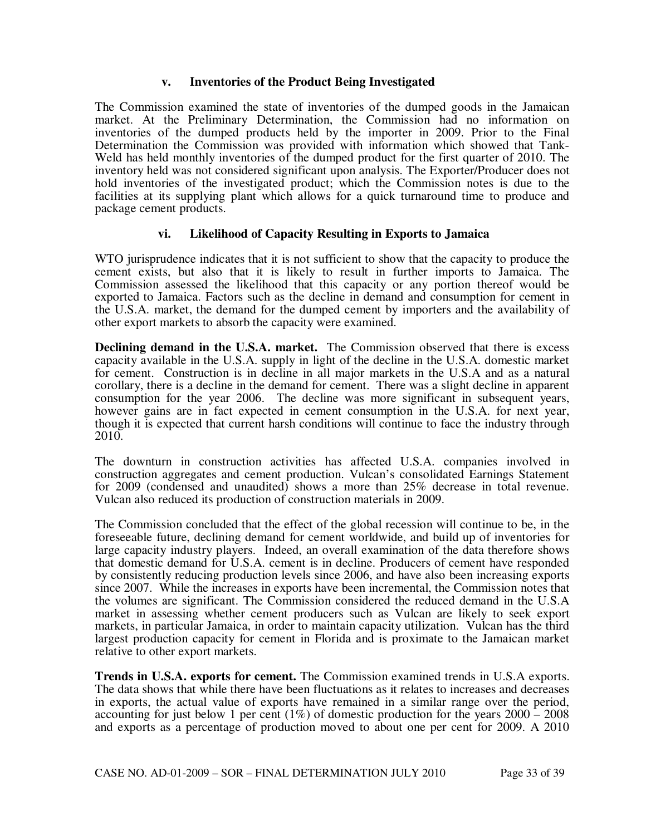#### **v. Inventories of the Product Being Investigated**

The Commission examined the state of inventories of the dumped goods in the Jamaican market. At the Preliminary Determination, the Commission had no information on inventories of the dumped products held by the importer in 2009. Prior to the Final Determination the Commission was provided with information which showed that Tank-Weld has held monthly inventories of the dumped product for the first quarter of 2010. The inventory held was not considered significant upon analysis. The Exporter/Producer does not hold inventories of the investigated product; which the Commission notes is due to the facilities at its supplying plant which allows for a quick turnaround time to produce and package cement products.

## **vi. Likelihood of Capacity Resulting in Exports to Jamaica**

WTO jurisprudence indicates that it is not sufficient to show that the capacity to produce the cement exists, but also that it is likely to result in further imports to Jamaica. The Commission assessed the likelihood that this capacity or any portion thereof would be exported to Jamaica. Factors such as the decline in demand and consumption for cement in the U.S.A. market, the demand for the dumped cement by importers and the availability of other export markets to absorb the capacity were examined.

**Declining demand in the U.S.A. market.** The Commission observed that there is excess capacity available in the U.S.A. supply in light of the decline in the U.S.A. domestic market for cement. Construction is in decline in all major markets in the U.S.A and as a natural corollary, there is a decline in the demand for cement. There was a slight decline in apparent consumption for the year 2006. The decline was more significant in subsequent years, however gains are in fact expected in cement consumption in the U.S.A. for next year, though it is expected that current harsh conditions will continue to face the industry through 2010.

The downturn in construction activities has affected U.S.A. companies involved in construction aggregates and cement production. Vulcan's consolidated Earnings Statement for 2009 (condensed and unaudited) shows a more than 25% decrease in total revenue. Vulcan also reduced its production of construction materials in 2009.

The Commission concluded that the effect of the global recession will continue to be, in the foreseeable future, declining demand for cement worldwide, and build up of inventories for large capacity industry players. Indeed, an overall examination of the data therefore shows that domestic demand for U.S.A. cement is in decline. Producers of cement have responded by consistently reducing production levels since 2006, and have also been increasing exports since 2007. While the increases in exports have been incremental, the Commission notes that the volumes are significant. The Commission considered the reduced demand in the U.S.A market in assessing whether cement producers such as Vulcan are likely to seek export markets, in particular Jamaica, in order to maintain capacity utilization. Vulcan has the third largest production capacity for cement in Florida and is proximate to the Jamaican market relative to other export markets.

**Trends in U.S.A. exports for cement.** The Commission examined trends in U.S.A exports. The data shows that while there have been fluctuations as it relates to increases and decreases in exports, the actual value of exports have remained in a similar range over the period, accounting for just below 1 per cent  $(1\%)$  of domestic production for the years  $2000 - 2008$ and exports as a percentage of production moved to about one per cent for 2009. A 2010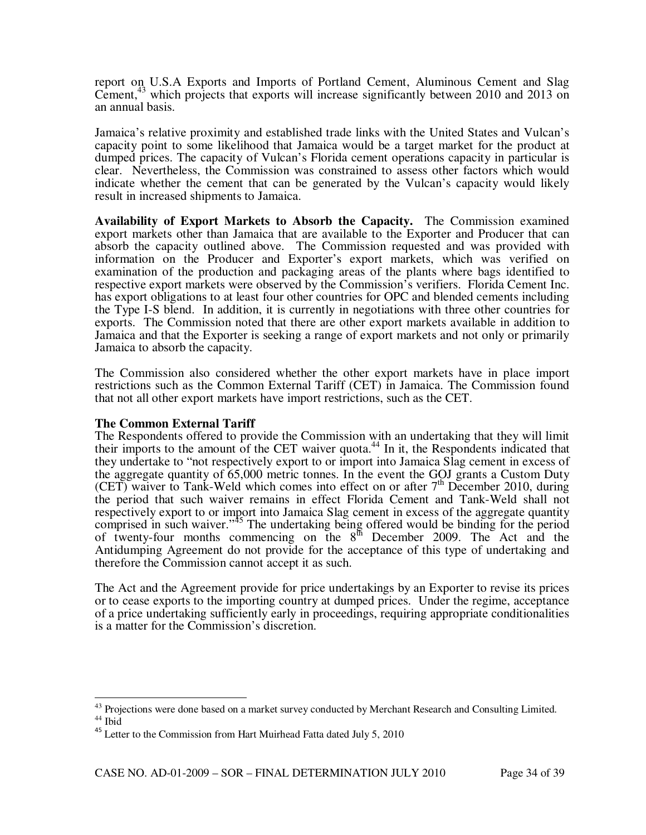report on U.S.A Exports and Imports of Portland Cement, Aluminous Cement and Slag Cement,<sup>43</sup> which projects that exports will increase significantly between 2010 and 2013 on an annual basis.

Jamaica's relative proximity and established trade links with the United States and Vulcan's capacity point to some likelihood that Jamaica would be a target market for the product at dumped prices. The capacity of Vulcan's Florida cement operations capacity in particular is clear. Nevertheless, the Commission was constrained to assess other factors which would indicate whether the cement that can be generated by the Vulcan's capacity would likely result in increased shipments to Jamaica.

**Availability of Export Markets to Absorb the Capacity.** The Commission examined export markets other than Jamaica that are available to the Exporter and Producer that can absorb the capacity outlined above. The Commission requested and was provided with information on the Producer and Exporter's export markets, which was verified on examination of the production and packaging areas of the plants where bags identified to respective export markets were observed by the Commission's verifiers. Florida Cement Inc. has export obligations to at least four other countries for OPC and blended cements including the Type I-S blend. In addition, it is currently in negotiations with three other countries for exports. The Commission noted that there are other export markets available in addition to Jamaica and that the Exporter is seeking a range of export markets and not only or primarily Jamaica to absorb the capacity.

The Commission also considered whether the other export markets have in place import restrictions such as the Common External Tariff (CET) in Jamaica. The Commission found that not all other export markets have import restrictions, such as the CET.

#### **The Common External Tariff**

The Respondents offered to provide the Commission with an undertaking that they will limit their imports to the amount of the CET waiver quota.<sup>44</sup> In it, the Respondents indicated that they undertake to "not respectively export to or import into Jamaica Slag cement in excess of the aggregate quantity of 65,000 metric tonnes. In the event the GOJ grants a Custom Duty (CET) waiver to Tank-Weld which comes into effect on or after  $7<sup>th</sup>$  December 2010, during the period that such waiver remains in effect Florida Cement and Tank-Weld shall not respectively export to or import into Jamaica Slag cement in excess of the aggregate quantity comprised in such waiver."<sup>45</sup> The undertaking being offered would be binding for the period of twenty-four months commencing on the  $8<sup>th</sup>$  December 2009. The Act and the Antidumping Agreement do not provide for the acceptance of this type of undertaking and therefore the Commission cannot accept it as such.

The Act and the Agreement provide for price undertakings by an Exporter to revise its prices or to cease exports to the importing country at dumped prices. Under the regime, acceptance of a price undertaking sufficiently early in proceedings, requiring appropriate conditionalities is a matter for the Commission's discretion.

 $\overline{a}$ 

<sup>&</sup>lt;sup>43</sup> Projections were done based on a market survey conducted by Merchant Research and Consulting Limited. <sup>44</sup> Ibid

<sup>&</sup>lt;sup>45</sup> Letter to the Commission from Hart Muirhead Fatta dated July 5, 2010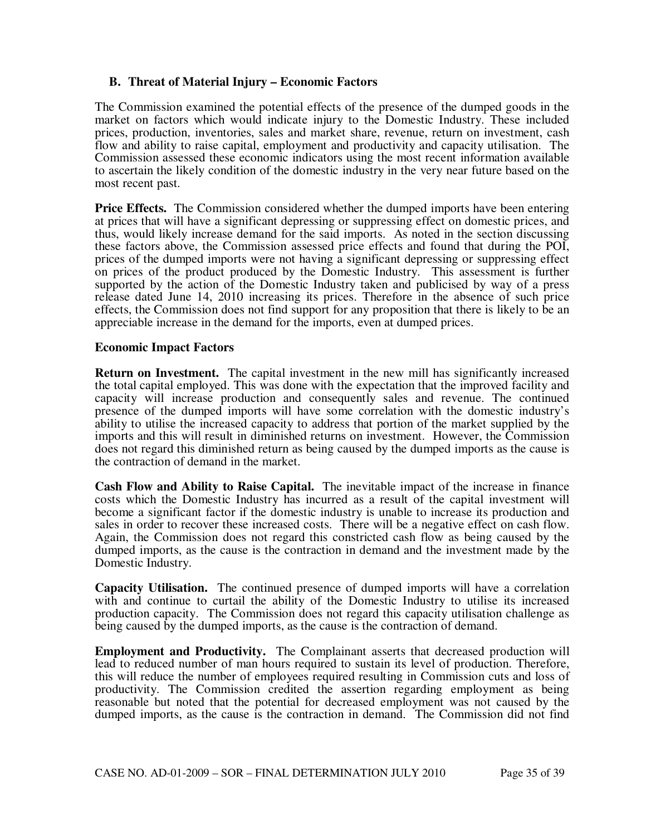## **B. Threat of Material Injury – Economic Factors**

The Commission examined the potential effects of the presence of the dumped goods in the market on factors which would indicate injury to the Domestic Industry. These included prices, production, inventories, sales and market share, revenue, return on investment, cash flow and ability to raise capital, employment and productivity and capacity utilisation.The Commission assessed these economic indicators using the most recent information available to ascertain the likely condition of the domestic industry in the very near future based on the most recent past.

**Price Effects.** The Commission considered whether the dumped imports have been entering at prices that will have a significant depressing or suppressing effect on domestic prices, and thus, would likely increase demand for the said imports. As noted in the section discussing these factors above, the Commission assessed price effects and found that during the POI, prices of the dumped imports were not having a significant depressing or suppressing effect on prices of the product produced by the Domestic Industry. This assessment is further supported by the action of the Domestic Industry taken and publicised by way of a press release dated June 14, 2010 increasing its prices. Therefore in the absence of such price effects, the Commission does not find support for any proposition that there is likely to be an appreciable increase in the demand for the imports, even at dumped prices.

## **Economic Impact Factors**

**Return on Investment.** The capital investment in the new mill has significantly increased the total capital employed. This was done with the expectation that the improved facility and capacity will increase production and consequently sales and revenue. The continued presence of the dumped imports will have some correlation with the domestic industry's ability to utilise the increased capacity to address that portion of the market supplied by the imports and this will result in diminished returns on investment. However, the Commission does not regard this diminished return as being caused by the dumped imports as the cause is the contraction of demand in the market.

**Cash Flow and Ability to Raise Capital.** The inevitable impact of the increase in finance costs which the Domestic Industry has incurred as a result of the capital investment will become a significant factor if the domestic industry is unable to increase its production and sales in order to recover these increased costs. There will be a negative effect on cash flow. Again, the Commission does not regard this constricted cash flow as being caused by the dumped imports, as the cause is the contraction in demand and the investment made by the Domestic Industry.

**Capacity Utilisation.** The continued presence of dumped imports will have a correlation with and continue to curtail the ability of the Domestic Industry to utilise its increased production capacity. The Commission does not regard this capacity utilisation challenge as being caused by the dumped imports, as the cause is the contraction of demand.

**Employment and Productivity.** The Complainant asserts that decreased production will lead to reduced number of man hours required to sustain its level of production. Therefore, this will reduce the number of employees required resulting in Commission cuts and loss of productivity. The Commission credited the assertion regarding employment as being reasonable but noted that the potential for decreased employment was not caused by the dumped imports, as the cause is the contraction in demand. The Commission did not find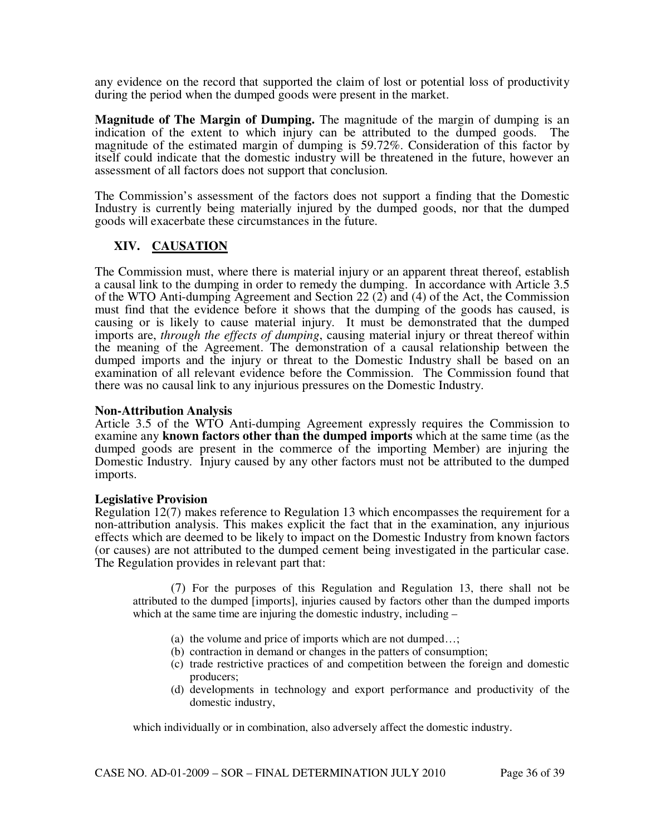any evidence on the record that supported the claim of lost or potential loss of productivity during the period when the dumped goods were present in the market.

**Magnitude of The Margin of Dumping.** The magnitude of the margin of dumping is an indication of the extent to which injury can be attributed to the dumped goods. The magnitude of the estimated margin of dumping is 59.72%. Consideration of this factor by itself could indicate that the domestic industry will be threatened in the future, however an assessment of all factors does not support that conclusion.

The Commission's assessment of the factors does not support a finding that the Domestic Industry is currently being materially injured by the dumped goods, nor that the dumped goods will exacerbate these circumstances in the future.

## **XIV. CAUSATION**

The Commission must, where there is material injury or an apparent threat thereof, establish a causal link to the dumping in order to remedy the dumping. In accordance with Article 3.5 of the WTO Anti-dumping Agreement and Section 22 (2) and (4) of the Act, the Commission must find that the evidence before it shows that the dumping of the goods has caused, is causing or is likely to cause material injury. It must be demonstrated that the dumped imports are, *through the effects of dumping*, causing material injury or threat thereof within the meaning of the Agreement. The demonstration of a causal relationship between the dumped imports and the injury or threat to the Domestic Industry shall be based on an examination of all relevant evidence before the Commission. The Commission found that there was no causal link to any injurious pressures on the Domestic Industry.

#### **Non-Attribution Analysis**

Article 3.5 of the WTO Anti-dumping Agreement expressly requires the Commission to examine any **known factors other than the dumped imports** which at the same time (as the dumped goods are present in the commerce of the importing Member) are injuring the Domestic Industry. Injury caused by any other factors must not be attributed to the dumped imports.

#### **Legislative Provision**

Regulation 12(7) makes reference to Regulation 13 which encompasses the requirement for a non-attribution analysis. This makes explicit the fact that in the examination, any injurious effects which are deemed to be likely to impact on the Domestic Industry from known factors (or causes) are not attributed to the dumped cement being investigated in the particular case. The Regulation provides in relevant part that:

 (7) For the purposes of this Regulation and Regulation 13, there shall not be attributed to the dumped [imports], injuries caused by factors other than the dumped imports which at the same time are injuring the domestic industry, including –

- (a) the volume and price of imports which are not dumped…;
- (b) contraction in demand or changes in the patters of consumption;
- (c) trade restrictive practices of and competition between the foreign and domestic producers;
- (d) developments in technology and export performance and productivity of the domestic industry,

which individually or in combination, also adversely affect the domestic industry.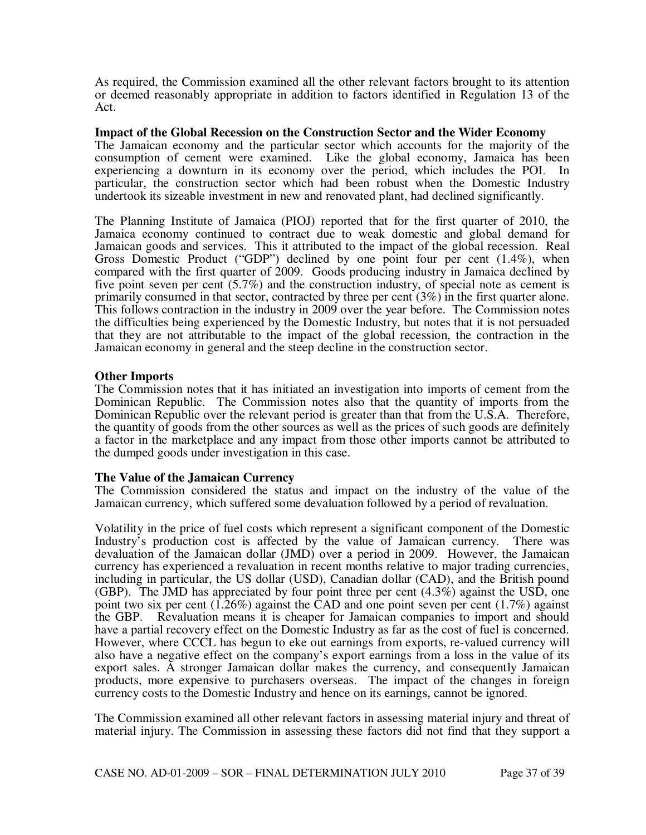As required, the Commission examined all the other relevant factors brought to its attention or deemed reasonably appropriate in addition to factors identified in Regulation 13 of the Act.

#### **Impact of the Global Recession on the Construction Sector and the Wider Economy**

The Jamaican economy and the particular sector which accounts for the majority of the consumption of cement were examined. Like the global economy, Jamaica has been experiencing a downturn in its economy over the period, which includes the POI. In particular, the construction sector which had been robust when the Domestic Industry undertook its sizeable investment in new and renovated plant, had declined significantly.

The Planning Institute of Jamaica (PIOJ) reported that for the first quarter of 2010, the Jamaica economy continued to contract due to weak domestic and global demand for Jamaican goods and services. This it attributed to the impact of the global recession. Real Gross Domestic Product ("GDP") declined by one point four per cent (1.4%), when compared with the first quarter of 2009. Goods producing industry in Jamaica declined by five point seven per cent (5.7%) and the construction industry, of special note as cement is primarily consumed in that sector, contracted by three per cent (3%) in the first quarter alone. This follows contraction in the industry in 2009 over the year before. The Commission notes the difficulties being experienced by the Domestic Industry, but notes that it is not persuaded that they are not attributable to the impact of the global recession, the contraction in the Jamaican economy in general and the steep decline in the construction sector.

#### **Other Imports**

The Commission notes that it has initiated an investigation into imports of cement from the Dominican Republic. The Commission notes also that the quantity of imports from the Dominican Republic over the relevant period is greater than that from the U.S.A. Therefore, the quantity of goods from the other sources as well as the prices of such goods are definitely a factor in the marketplace and any impact from those other imports cannot be attributed to the dumped goods under investigation in this case.

## **The Value of the Jamaican Currency**

The Commission considered the status and impact on the industry of the value of the Jamaican currency, which suffered some devaluation followed by a period of revaluation.

Volatility in the price of fuel costs which represent a significant component of the Domestic Industry's production cost is affected by the value of Jamaican currency. There was devaluation of the Jamaican dollar (JMD) over a period in 2009. However, the Jamaican currency has experienced a revaluation in recent months relative to major trading currencies, including in particular, the US dollar (USD), Canadian dollar (CAD), and the British pound (GBP). The JMD has appreciated by four point three per cent (4.3%) against the USD, one point two six per cent  $(1.26\%)$  against the CAD and one point seven per cent  $(1.7\%)$  against the GBP. Revaluation means it is cheaper for Jamaican companies to import and should have a partial recovery effect on the Domestic Industry as far as the cost of fuel is concerned. However, where CCCL has begun to eke out earnings from exports, re-valued currency will also have a negative effect on the company's export earnings from a loss in the value of its export sales. A stronger Jamaican dollar makes the currency, and consequently Jamaican products, more expensive to purchasers overseas. The impact of the changes in foreign currency costs to the Domestic Industry and hence on its earnings, cannot be ignored.

The Commission examined all other relevant factors in assessing material injury and threat of material injury. The Commission in assessing these factors did not find that they support a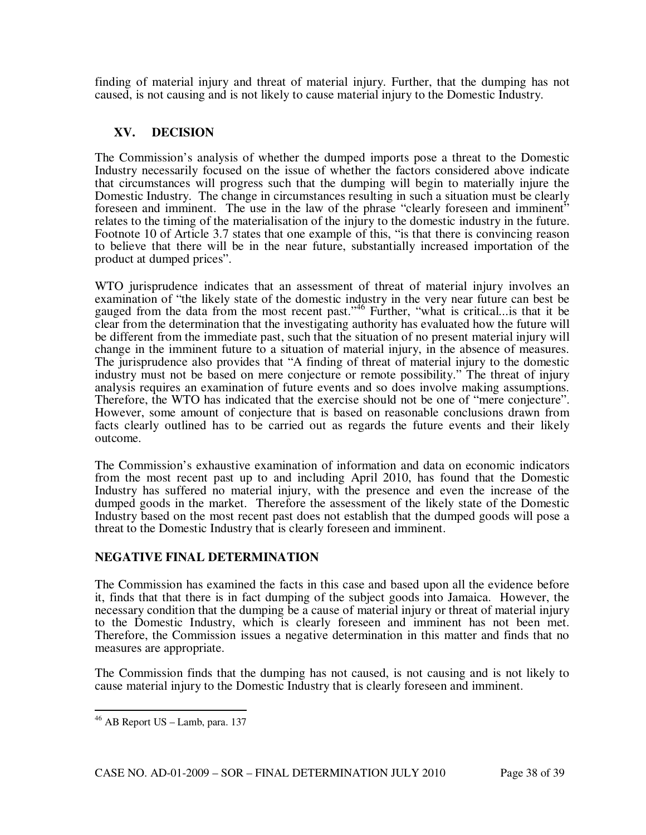finding of material injury and threat of material injury. Further, that the dumping has not caused, is not causing and is not likely to cause material injury to the Domestic Industry.

## **XV. DECISION**

The Commission's analysis of whether the dumped imports pose a threat to the Domestic Industry necessarily focused on the issue of whether the factors considered above indicate that circumstances will progress such that the dumping will begin to materially injure the Domestic Industry. The change in circumstances resulting in such a situation must be clearly foreseen and imminent. The use in the law of the phrase "clearly foreseen and imminent" relates to the timing of the materialisation of the injury to the domestic industry in the future. Footnote 10 of Article 3.7 states that one example of this, "is that there is convincing reason to believe that there will be in the near future, substantially increased importation of the product at dumped prices".

WTO jurisprudence indicates that an assessment of threat of material injury involves an examination of "the likely state of the domestic industry in the very near future can best be gauged from the data from the most recent past."<sup>46</sup> Further, "what is critical...is that it be clear from the determination that the investigating authority has evaluated how the future will be different from the immediate past, such that the situation of no present material injury will change in the imminent future to a situation of material injury, in the absence of measures. The jurisprudence also provides that "A finding of threat of material injury to the domestic industry must not be based on mere conjecture or remote possibility." The threat of injury analysis requires an examination of future events and so does involve making assumptions. Therefore, the WTO has indicated that the exercise should not be one of "mere conjecture". However, some amount of conjecture that is based on reasonable conclusions drawn from facts clearly outlined has to be carried out as regards the future events and their likely outcome.

The Commission's exhaustive examination of information and data on economic indicators from the most recent past up to and including April 2010, has found that the Domestic Industry has suffered no material injury, with the presence and even the increase of the dumped goods in the market. Therefore the assessment of the likely state of the Domestic Industry based on the most recent past does not establish that the dumped goods will pose a threat to the Domestic Industry that is clearly foreseen and imminent.

## **NEGATIVE FINAL DETERMINATION**

The Commission has examined the facts in this case and based upon all the evidence before it, finds that that there is in fact dumping of the subject goods into Jamaica. However, the necessary condition that the dumping be a cause of material injury or threat of material injury to the Domestic Industry, which is clearly foreseen and imminent has not been met. Therefore, the Commission issues a negative determination in this matter and finds that no measures are appropriate.

The Commission finds that the dumping has not caused, is not causing and is not likely to cause material injury to the Domestic Industry that is clearly foreseen and imminent.

 $\overline{a}$ 

 $46$  AB Report US – Lamb, para. 137